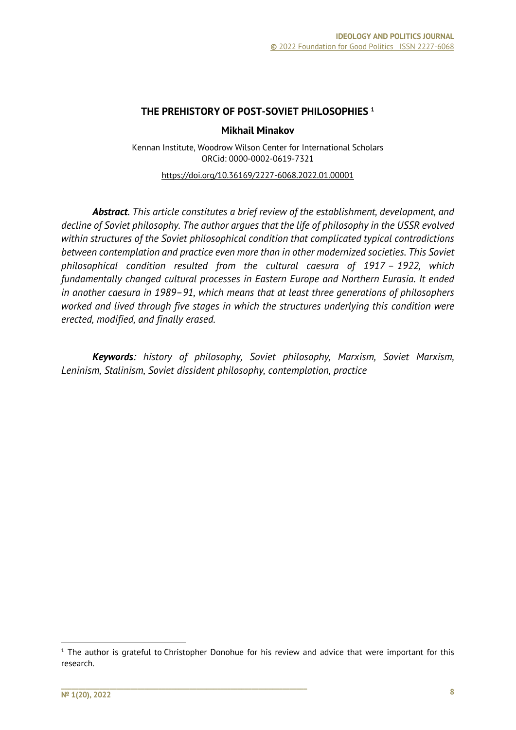#### **THE PREHISTORY OF POST-SOVIET PHILOSOPHIES <sup>1</sup>**

#### **Mikhail Minakov**

Kennan Institute, Woodrow Wilson Center for International Scholars ORCid: 0000-0002-0619-7321

https://doi.org/10.36169/2227-6068.2022.01.00001

*Abstract. This article constitutes a brief review of the establishment, development, and decline of Soviet philosophy. The author argues that the life of philosophy in the USSR evolved within structures of the Soviet philosophical condition that complicated typical contradictions between contemplation and practice even more than in other modernized societies. This Soviet philosophical condition resulted from the cultural caesura of 1917 – 1922, which fundamentally changed cultural processes in Eastern Europe and Northern Eurasia. It ended in another caesura in 1989–91, which means that at least three generations of philosophers worked and lived through five stages in which the structures underlying this condition were erected, modified, and finally erased.*

*Keywords: history of philosophy, Soviet philosophy, Marxism, Soviet Marxism, Leninism, Stalinism, Soviet dissident philosophy, contemplation, practice*

 $1$  The author is grateful to Christopher Donohue for his review and advice that were important for this research.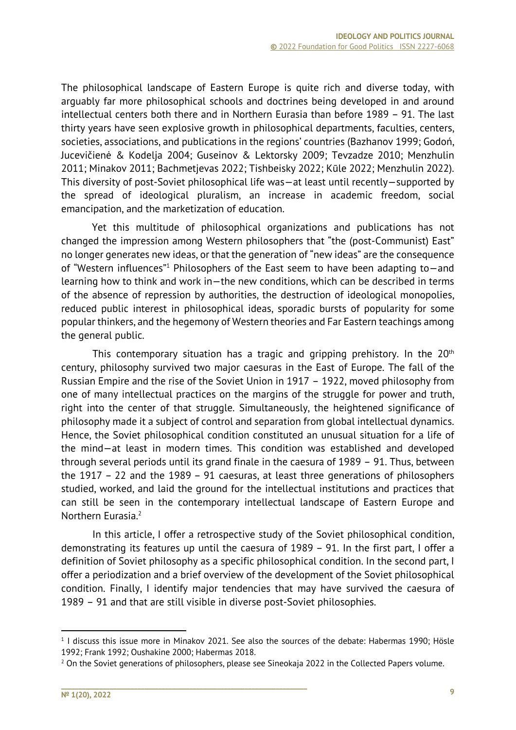The philosophical landscape of Eastern Europe is quite rich and diverse today, with arguably far more philosophical schools and doctrines being developed in and around intellectual centers both there and in Northern Eurasia than before 1989 – 91. The last thirty years have seen explosive growth in philosophical departments, faculties, centers, societies, associations, and publications in the regions' countries (Bazhanov 1999; Godoń, Jucevičienė & Kodelja 2004; Guseinov & Lektorsky 2009; Tevzadze 2010; Menzhulin 2011; Minakov 2011; Bachmetjevas 2022; Tishbeisky 2022; Kūle 2022; Menzhulin 2022). This diversity of post-Soviet philosophical life was—at least until recently—supported by the spread of ideological pluralism, an increase in academic freedom, social emancipation, and the marketization of education.

Yet this multitude of philosophical organizations and publications has not changed the impression among Western philosophers that "the (post-Communist) East" no longer generates new ideas, or that the generation of "new ideas" are the consequence of "Western influences"1 Philosophers of the East seem to have been adapting to—and learning how to think and work in—the new conditions, which can be described in terms of the absence of repression by authorities, the destruction of ideological monopolies, reduced public interest in philosophical ideas, sporadic bursts of popularity for some popular thinkers, and the hegemony of Western theories and Far Eastern teachings among the general public.

This contemporary situation has a tragic and gripping prehistory. In the  $20<sup>th</sup>$ century, philosophy survived two major caesuras in the East of Europe. The fall of the Russian Empire and the rise of the Soviet Union in 1917 – 1922, moved philosophy from one of many intellectual practices on the margins of the struggle for power and truth, right into the center of that struggle. Simultaneously, the heightened significance of philosophy made it a subject of control and separation from global intellectual dynamics. Hence, the Soviet philosophical condition constituted an unusual situation for a life of the mind—at least in modern times. This condition was established and developed through several periods until its grand finale in the caesura of 1989 – 91. Thus, between the 1917 – 22 and the 1989 – 91 caesuras, at least three generations of philosophers studied, worked, and laid the ground for the intellectual institutions and practices that can still be seen in the contemporary intellectual landscape of Eastern Europe and Northern Eurasia.2

In this article, I offer a retrospective study of the Soviet philosophical condition, demonstrating its features up until the caesura of 1989 – 91. In the first part, I offer a definition of Soviet philosophy as a specific philosophical condition. In the second part, I offer a periodization and a brief overview of the development of the Soviet philosophical condition. Finally, I identify major tendencies that may have survived the caesura of 1989 – 91 and that are still visible in diverse post-Soviet philosophies.

 $<sup>1</sup>$  I discuss this issue more in Minakov 2021. See also the sources of the debate: Habermas 1990; Hösle</sup> 1992; Frank 1992; Oushakine 2000; Habermas 2018.<br><sup>2</sup> On the Soviet generations of philosophers, please see Sineokaja 2022 in the Collected Papers volume.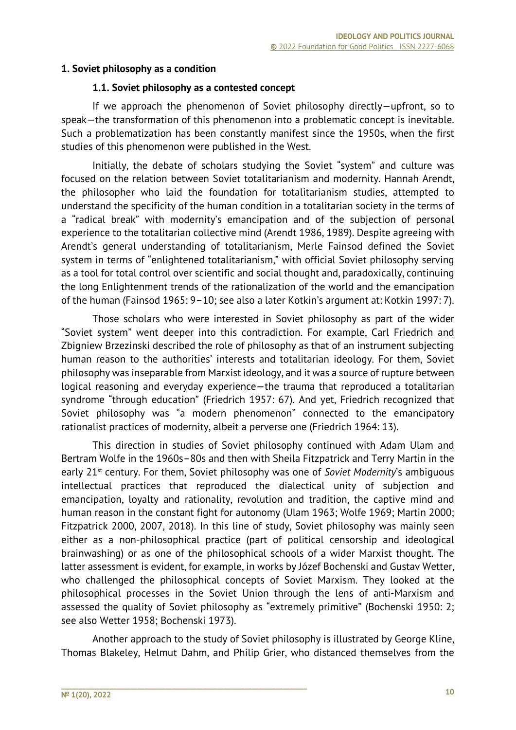### **1. Soviet philosophy as a condition**

#### **1.1. Soviet philosophy as a contested concept**

If we approach the phenomenon of Soviet philosophy directly—upfront, so to speak—the transformation of this phenomenon into a problematic concept is inevitable. Such a problematization has been constantly manifest since the 1950s, when the first studies of this phenomenon were published in the West.

Initially, the debate of scholars studying the Soviet "system" and culture was focused on the relation between Soviet totalitarianism and modernity. Hannah Arendt, the philosopher who laid the foundation for totalitarianism studies, attempted to understand the specificity of the human condition in a totalitarian society in the terms of a "radical break" with modernity's emancipation and of the subjection of personal experience to the totalitarian collective mind (Arendt 1986, 1989). Despite agreeing with Arendt's general understanding of totalitarianism, Merle Fainsod defined the Soviet system in terms of "enlightened totalitarianism," with official Soviet philosophy serving as a tool for total control over scientific and social thought and, paradoxically, continuing the long Enlightenment trends of the rationalization of the world and the emancipation of the human (Fainsod 1965: 9–10; see also a later Kotkin's argument at: Kotkin 1997: 7).

Those scholars who were interested in Soviet philosophy as part of the wider "Soviet system" went deeper into this contradiction. For example, Carl Friedrich and Zbigniew Brzezinski described the role of philosophy as that of an instrument subjecting human reason to the authorities' interests and totalitarian ideology. For them, Soviet philosophy was inseparable from Marxist ideology, and it was a source of rupture between logical reasoning and everyday experience—the trauma that reproduced a totalitarian syndrome "through education" (Friedrich 1957: 67). And yet, Friedrich recognized that Soviet philosophy was "a modern phenomenon" connected to the emancipatory rationalist practices of modernity, albeit a perverse one (Friedrich 1964: 13).

This direction in studies of Soviet philosophy continued with Adam Ulam and Bertram Wolfe in the 1960s–80s and then with Sheila Fitzpatrick and Terry Martin in the early 21st century. For them, Soviet philosophy was one of *Soviet Modernity*'s ambiguous intellectual practices that reproduced the dialectical unity of subjection and emancipation, loyalty and rationality, revolution and tradition, the captive mind and human reason in the constant fight for autonomy (Ulam 1963; Wolfe 1969; Martin 2000; Fitzpatrick 2000, 2007, 2018). In this line of study, Soviet philosophy was mainly seen either as a non-philosophical practice (part of political censorship and ideological brainwashing) or as one of the philosophical schools of a wider Marxist thought. The latter assessment is evident, for example, in works by Józef Bochenski and Gustav Wetter, who challenged the philosophical concepts of Soviet Marxism. They looked at the philosophical processes in the Soviet Union through the lens of anti-Marxism and assessed the quality of Soviet philosophy as "extremely primitive" (Bochenski 1950: 2; see also Wetter 1958; Bochenski 1973).

Another approach to the study of Soviet philosophy is illustrated by George Kline, Thomas Blakeley, Helmut Dahm, and Philip Grier, who distanced themselves from the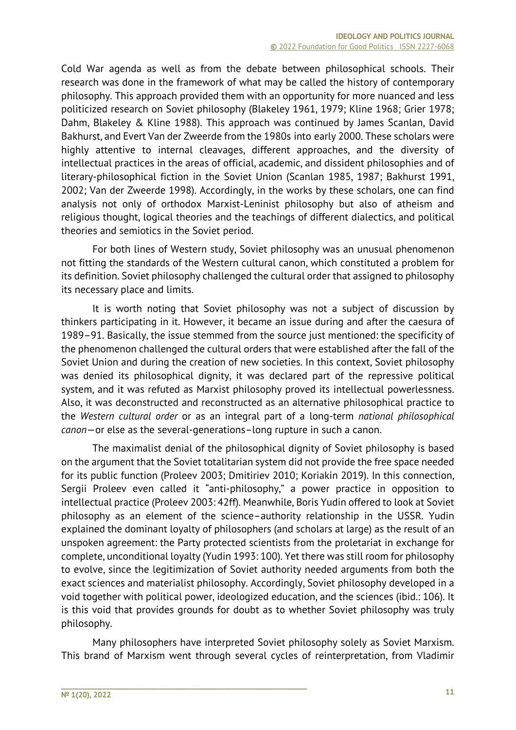Cold War agenda as well as from the debate between philosophical schools. Their research was done in the framework of what may be called the history of contemporary philosophy. This approach provided them with an opportunity for more nuanced and less politicized research on Soviet philosophy (Blakeley 1961, 1979; Kline 1968; Grier 1978; Dahm, Blakeley & Kline 1988). This approach was continued by James Scanlan, David Bakhurst, and Evert Van der Zweerde from the 1980s into early 2000. These scholars were highly attentive to internal cleavages, different approaches, and the diversity of intellectual practices in the areas of official, academic, and dissident philosophies and of literary-philosophical fiction in the Soviet Union (Scanlan 1985, 1987; Bakhurst 1991, 2002; Van der Zweerde 1998). Accordingly, in the works by these scholars, one can find analysis not only of orthodox Marxist-Leninist philosophy but also of atheism and religious thought, logical theories and the teachings of different dialectics, and political theories and semiotics in the Soviet period.

For both lines of Western study, Soviet philosophy was an unusual phenomenon not fitting the standards of the Western cultural canon, which constituted a problem for its definition. Soviet philosophy challenged the cultural order that assigned to philosophy its necessary place and limits.

It is worth noting that Soviet philosophy was not a subject of discussion by thinkers participating in it. However, it became an issue during and after the caesura of 1989–91. Basically, the issue stemmed from the source just mentioned: the specificity of the phenomenon challenged the cultural orders that were established after the fall of the Soviet Union and during the creation of new societies. In this context, Soviet philosophy was denied its philosophical dignity, it was declared part of the repressive political system, and it was refuted as Marxist philosophy proved its intellectual powerlessness. Also, it was deconstructed and reconstructed as an alternative philosophical practice to the *Western cultural order* or as an integral part of a long-term *national philosophical canon*—or else as the several-generations–long rupture in such a canon.

The maximalist denial of the philosophical dignity of Soviet philosophy is based on the argument that the Soviet totalitarian system did not provide the free space needed for its public function (Proleev 2003; Dmitiriev 2010; Koriakin 2019). In this connection, Sergii Proleev even called it "anti-philosophy," a power practice in opposition to intellectual practice (Proleev 2003: 42ff). Meanwhile, Boris Yudin offered to look at Soviet philosophy as an element of the science–authority relationship in the USSR. Yudin explained the dominant loyalty of philosophers (and scholars at large) as the result of an unspoken agreement: the Party protected scientists from the proletariat in exchange for complete, unconditional loyalty (Yudin 1993: 100). Yet there was still room for philosophy to evolve, since the legitimization of Soviet authority needed arguments from both the exact sciences and materialist philosophy. Accordingly, Soviet philosophy developed in a void together with political power, ideologized education, and the sciences (ibid.: 106). It is this void that provides grounds for doubt as to whether Soviet philosophy was truly philosophy.

Many philosophers have interpreted Soviet philosophy solely as Soviet Marxism. This brand of Marxism went through several cycles of reinterpretation, from Vladimir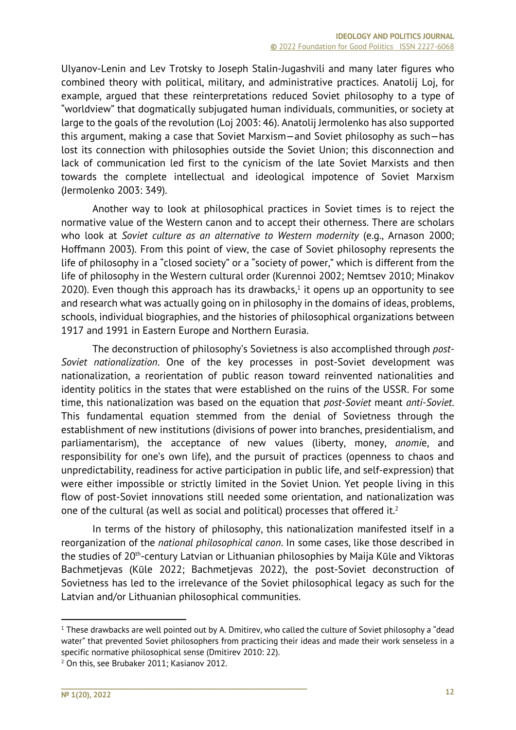Ulyanov-Lenin and Lev Trotsky to Joseph Stalin-Jugashvili and many later figures who combined theory with political, military, and administrative practices. Anatolij Loj, for example, argued that these reinterpretations reduced Soviet philosophy to a type of "worldview" that dogmatically subjugated human individuals, communities, or society at large to the goals of the revolution (Loj 2003: 46). Anatolij Jermolenko has also supported this argument, making a case that Soviet Marxism—and Soviet philosophy as such—has lost its connection with philosophies outside the Soviet Union; this disconnection and lack of communication led first to the cynicism of the late Soviet Marxists and then towards the complete intellectual and ideological impotence of Soviet Marxism (Jermolenko 2003: 349).

Another way to look at philosophical practices in Soviet times is to reject the normative value of the Western canon and to accept their otherness. There are scholars who look at *Soviet culture as an alternative to Western modernity* (e.g., Arnason 2000; Hoffmann 2003). From this point of view, the case of Soviet philosophy represents the life of philosophy in a "closed society" or a "society of power," which is different from the life of philosophy in the Western cultural order (Kurennoi 2002; Nemtsev 2010; Minakov 2020). Even though this approach has its drawbacks, $1$  it opens up an opportunity to see and research what was actually going on in philosophy in the domains of ideas, problems, schools, individual biographies, and the histories of philosophical organizations between 1917 and 1991 in Eastern Europe and Northern Eurasia.

The deconstruction of philosophy's Sovietness is also accomplished through *post-Soviet nationalization*. One of the key processes in post-Soviet development was nationalization, a reorientation of public reason toward reinvented nationalities and identity politics in the states that were established on the ruins of the USSR. For some time, this nationalization was based on the equation that *post-Soviet* meant *anti-Soviet*. This fundamental equation stemmed from the denial of Sovietness through the establishment of new institutions (divisions of power into branches, presidentialism, and parliamentarism), the acceptance of new values (liberty, money, *anomi*e, and responsibility for one's own life), and the pursuit of practices (openness to chaos and unpredictability, readiness for active participation in public life, and self-expression) that were either impossible or strictly limited in the Soviet Union. Yet people living in this flow of post-Soviet innovations still needed some orientation, and nationalization was one of the cultural (as well as social and political) processes that offered it.2

In terms of the history of philosophy, this nationalization manifested itself in a reorganization of the *national philosophical canon*. In some cases, like those described in the studies of 20<sup>th</sup>-century Latvian or Lithuanian philosophies by Maija Kūle and Viktoras Bachmetjevas (Kūle 2022; Bachmetjevas 2022), the post-Soviet deconstruction of Sovietness has led to the irrelevance of the Soviet philosophical legacy as such for the Latvian and/or Lithuanian philosophical communities.

<sup>&</sup>lt;sup>1</sup> These drawbacks are well pointed out by A. Dmitirev, who called the culture of Soviet philosophy a "dead water" that prevented Soviet philosophers from practicing their ideas and made their work senseless in a specific normative philosophical sense (Dmitirev 2010: 22).

<sup>&</sup>lt;sup>2</sup> On this, see Brubaker 2011; Kasianov 2012.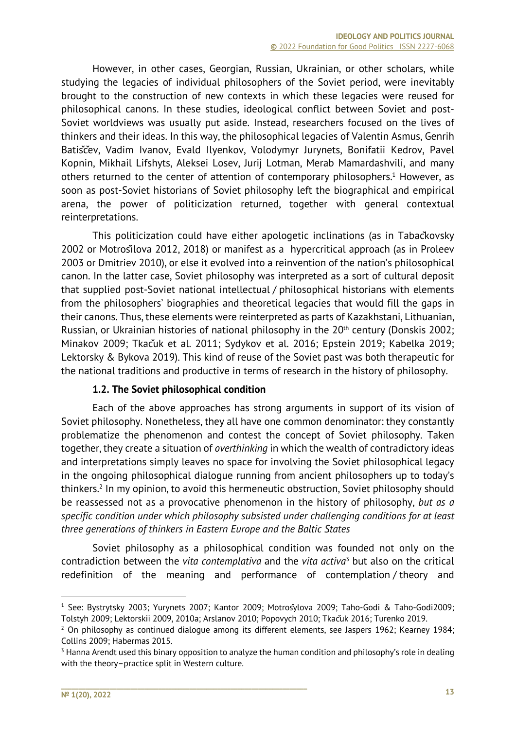However, in other cases, Georgian, Russian, Ukrainian, or other scholars, while studying the legacies of individual philosophers of the Soviet period, were inevitably brought to the construction of new contexts in which these legacies were reused for philosophical canons. In these studies, ideological conflict between Soviet and post-Soviet worldviews was usually put aside. Instead, researchers focused on the lives of thinkers and their ideas. In this way, the philosophical legacies of Valentin Asmus, Genrih Batisčey, Vadim Ivanov, Evald Ilyenkov, Volodymyr Jurynets, Bonifatii Kedrov, Pavel Kopnin, Mikhail Lifshyts, Aleksei Losev, Jurij Lotman, Merab Mamardashvili, and many others returned to the center of attention of contemporary philosophers.<sup>1</sup> However, as soon as post-Soviet historians of Soviet philosophy left the biographical and empirical arena, the power of politicization returned, together with general contextual reinterpretations.

This politicization could have either apologetic inclinations (as in Tabačkovsky 2002 or Motrošilova 2012, 2018) or manifest as a hypercritical approach (as in Proleev 2003 or Dmitriev 2010), or else it evolved into a reinvention of the nation's philosophical canon. In the latter case, Soviet philosophy was interpreted as a sort of cultural deposit that supplied post-Soviet national intellectual / philosophical historians with elements from the philosophers' biographies and theoretical legacies that would fill the gaps in their canons. Thus, these elements were reinterpreted as parts of Kazakhstani, Lithuanian, Russian, or Ukrainian histories of national philosophy in the 20<sup>th</sup> century (Donskis 2002; Minakov 2009; Tkačuk et al. 2011; Sydykov et al. 2016; Epstein 2019; Kabelka 2019; Lektorsky & Bykova 2019). This kind of reuse of the Soviet past was both therapeutic for the national traditions and productive in terms of research in the history of philosophy.

## **1.2. The Soviet philosophical condition**

**\_\_\_\_\_\_\_\_\_\_\_\_\_\_\_\_\_\_\_\_\_\_\_\_\_\_\_\_\_\_\_\_\_\_\_\_\_\_\_\_\_\_\_\_\_\_\_\_\_\_\_\_\_\_\_\_\_\_\_\_\_\_\_\_\_\_\_\_\_\_\_**

Each of the above approaches has strong arguments in support of its vision of Soviet philosophy. Nonetheless, they all have one common denominator: they constantly problematize the phenomenon and contest the concept of Soviet philosophy. Taken together, they create a situation of *overthinking* in which the wealth of contradictory ideas and interpretations simply leaves no space for involving the Soviet philosophical legacy in the ongoing philosophical dialogue running from ancient philosophers up to today's thinkers.2 In my opinion, to avoid this hermeneutic obstruction, Soviet philosophy should be reassessed not as a provocative phenomenon in the history of philosophy, *but as a specific condition under which philosophy subsisted under challenging conditions for at least three generations of thinkers in Eastern Europe and the Baltic States*

Soviet philosophy as a philosophical condition was founded not only on the contradiction between the *vita contemplativa* and the *vita activa*<sup>3</sup> but also on the critical redefinition of the meaning and performance of contemplation / theory and

<sup>1</sup> See: Bystrytsky 2003; Yurynets 2007; Kantor 2009; Motrošylova 2009; Taho-Godi & Taho-Godi2009; Tolstyh 2009; Lektorskii 2009, 2010a; Arslanov 2010; Popovych 2010; Tkačuk 2016; Turenko 2019.<br><sup>2</sup> On philosophy as continued dialogue among its different elements, see Jaspers 1962; Kearney 1984;

Collins 2009; Habermas 2015.

<sup>&</sup>lt;sup>3</sup> Hanna Arendt used this binary opposition to analyze the human condition and philosophy's role in dealing with the theory–practice split in Western culture.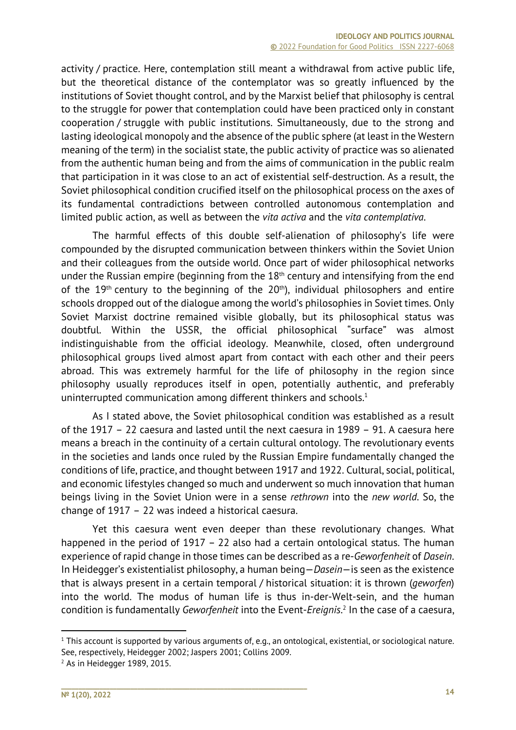activity / practice. Here, contemplation still meant a withdrawal from active public life, but the theoretical distance of the contemplator was so greatly influenced by the institutions of Soviet thought control, and by the Marxist belief that philosophy is central to the struggle for power that contemplation could have been practiced only in constant cooperation / struggle with public institutions. Simultaneously, due to the strong and lasting ideological monopoly and the absence of the public sphere (at least in the Western meaning of the term) in the socialist state, the public activity of practice was so alienated from the authentic human being and from the aims of communication in the public realm that participation in it was close to an act of existential self-destruction. As a result, the Soviet philosophical condition crucified itself on the philosophical process on the axes of its fundamental contradictions between controlled autonomous contemplation and limited public action, as well as between the *vita activa* and the *vita contemplativa*.

The harmful effects of this double self-alienation of philosophy's life were compounded by the disrupted communication between thinkers within the Soviet Union and their colleagues from the outside world. Once part of wider philosophical networks under the Russian empire (beginning from the  $18<sup>th</sup>$  century and intensifying from the end of the  $19<sup>th</sup>$  century to the beginning of the  $20<sup>th</sup>$ ), individual philosophers and entire schools dropped out of the dialogue among the world's philosophies in Soviet times. Only Soviet Marxist doctrine remained visible globally, but its philosophical status was doubtful. Within the USSR, the official philosophical "surface" was almost indistinguishable from the official ideology. Meanwhile, closed, often underground philosophical groups lived almost apart from contact with each other and their peers abroad. This was extremely harmful for the life of philosophy in the region since philosophy usually reproduces itself in open, potentially authentic, and preferably uninterrupted communication among different thinkers and schools.<sup>1</sup>

As I stated above, the Soviet philosophical condition was established as a result of the 1917 – 22 caesura and lasted until the next caesura in 1989 – 91. A caesura here means a breach in the continuity of a certain cultural ontology. The revolutionary events in the societies and lands once ruled by the Russian Empire fundamentally changed the conditions of life, practice, and thought between 1917 and 1922. Cultural, social, political, and economic lifestyles changed so much and underwent so much innovation that human beings living in the Soviet Union were in a sense *rethrown* into the *new world*. So, the change of 1917 – 22 was indeed a historical caesura.

Yet this caesura went even deeper than these revolutionary changes. What happened in the period of 1917 – 22 also had a certain ontological status. The human experience of rapid change in those times can be described as a re-*Geworfenheit* of *Dasein*. In Heidegger's existentialist philosophy, a human being—*Dasein*—is seen as the existence that is always present in a certain temporal / historical situation: it is thrown (*geworfen*) into the world. The modus of human life is thus in-der-Welt-sein, and the human condition is fundamentally *Geworfenheit* into the Event-*Ereignis*. <sup>2</sup> In the case of a caesura,

 $1$  This account is supported by various arguments of, e.g., an ontological, existential, or sociological nature. See, respectively, Heidegger 2002; Jaspers 2001; Collins 2009.

 $2$  As in Heidegger 1989, 2015.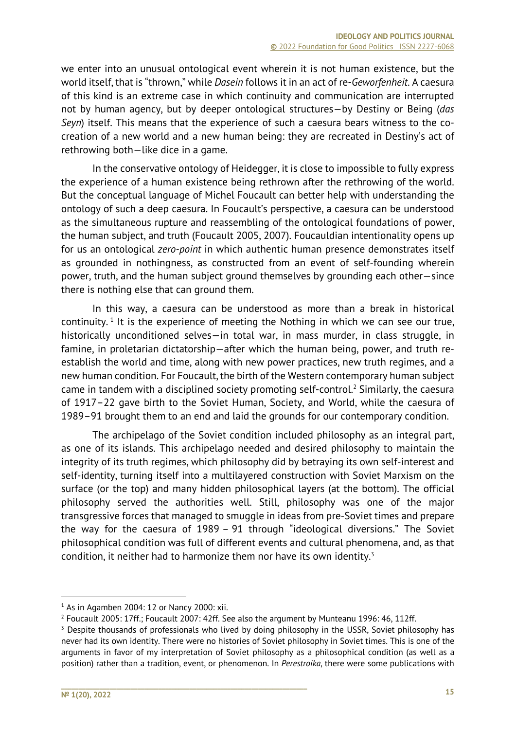we enter into an unusual ontological event wherein it is not human existence, but the world itself, that is "thrown," while *Dasein* follows it in an act of re-*Geworfenheit*. A caesura of this kind is an extreme case in which continuity and communication are interrupted not by human agency, but by deeper ontological structures—by Destiny or Being (*das Seyn*) itself. This means that the experience of such a caesura bears witness to the cocreation of a new world and a new human being: they are recreated in Destiny's act of rethrowing both—like dice in a game.

In the conservative ontology of Heidegger, it is close to impossible to fully express the experience of a human existence being rethrown after the rethrowing of the world. But the conceptual language of Michel Foucault can better help with understanding the ontology of such a deep caesura. In Foucault's perspective, a caesura can be understood as the simultaneous rupture and reassembling of the ontological foundations of power, the human subject, and truth (Foucault 2005, 2007). Foucauldian intentionality opens up for us an ontological *zero-point* in which authentic human presence demonstrates itself as grounded in nothingness, as constructed from an event of self-founding wherein power, truth, and the human subject ground themselves by grounding each other—since there is nothing else that can ground them.

In this way, a caesura can be understood as more than a break in historical continuity.<sup>1</sup> It is the experience of meeting the Nothing in which we can see our true, historically unconditioned selves—in total war, in mass murder, in class struggle, in famine, in proletarian dictatorship—after which the human being, power, and truth reestablish the world and time, along with new power practices, new truth regimes, and a new human condition. For Foucault, the birth of the Western contemporary human subject came in tandem with a disciplined society promoting self-control.2 Similarly, the caesura of 1917–22 gave birth to the Soviet Human, Society, and World, while the caesura of 1989–91 brought them to an end and laid the grounds for our contemporary condition.

The archipelago of the Soviet condition included philosophy as an integral part, as one of its islands. This archipelago needed and desired philosophy to maintain the integrity of its truth regimes, which philosophy did by betraying its own self-interest and self-identity, turning itself into a multilayered construction with Soviet Marxism on the surface (or the top) and many hidden philosophical layers (at the bottom). The official philosophy served the authorities well. Still, philosophy was one of the major transgressive forces that managed to smuggle in ideas from pre-Soviet times and prepare the way for the caesura of 1989 – 91 through "ideological diversions." The Soviet philosophical condition was full of different events and cultural phenomena, and, as that condition, it neither had to harmonize them nor have its own identity.3

 $1$  As in Agamben 2004: 12 or Nancy 2000: xii.

<sup>&</sup>lt;sup>2</sup> Foucault 2005: 17ff.: Foucault 2007: 42ff. See also the argument by Munteanu 1996: 46, 112ff.

<sup>&</sup>lt;sup>3</sup> Despite thousands of professionals who lived by doing philosophy in the USSR, Soviet philosophy has never had its own identity. There were no histories of Soviet philosophy in Soviet times. This is one of the arguments in favor of my interpretation of Soviet philosophy as a philosophical condition (as well as a position) rather than a tradition, event, or phenomenon. In *Perestroika*, there were some publications with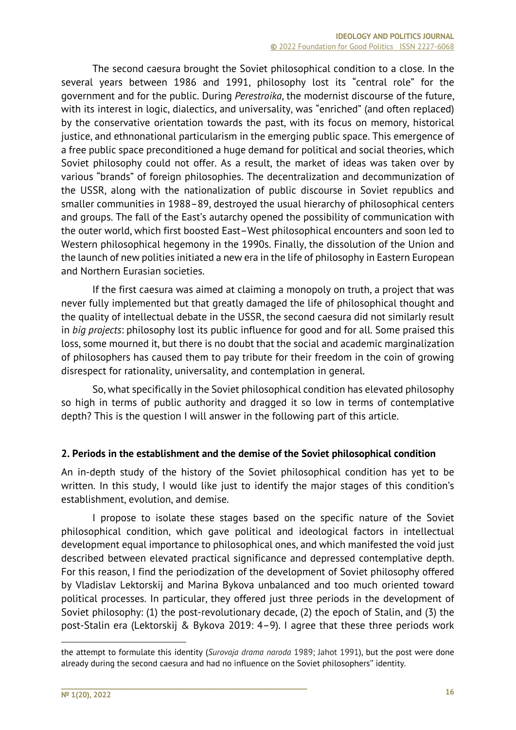The second caesura brought the Soviet philosophical condition to a close. In the several years between 1986 and 1991, philosophy lost its "central role" for the government and for the public. During *Perestroika*, the modernist discourse of the future, with its interest in logic, dialectics, and universality, was "enriched" (and often replaced) by the conservative orientation towards the past, with its focus on memory, historical justice, and ethnonational particularism in the emerging public space. This emergence of a free public space preconditioned a huge demand for political and social theories, which Soviet philosophy could not offer. As a result, the market of ideas was taken over by various "brands" of foreign philosophies. The decentralization and decommunization of the USSR, along with the nationalization of public discourse in Soviet republics and smaller communities in 1988–89, destroyed the usual hierarchy of philosophical centers and groups. The fall of the East's autarchy opened the possibility of communication with the outer world, which first boosted East–West philosophical encounters and soon led to Western philosophical hegemony in the 1990s. Finally, the dissolution of the Union and the launch of new polities initiated a new era in the life of philosophy in Eastern European and Northern Eurasian societies.

If the first caesura was aimed at claiming a monopoly on truth, a project that was never fully implemented but that greatly damaged the life of philosophical thought and the quality of intellectual debate in the USSR, the second caesura did not similarly result in *big projects*: philosophy lost its public influence for good and for all. Some praised this loss, some mourned it, but there is no doubt that the social and academic marginalization of philosophers has caused them to pay tribute for their freedom in the coin of growing disrespect for rationality, universality, and contemplation in general.

So, what specifically in the Soviet philosophical condition has elevated philosophy so high in terms of public authority and dragged it so low in terms of contemplative depth? This is the question I will answer in the following part of this article.

#### **2. Periods in the establishment and the demise of the Soviet philosophical condition**

An in-depth study of the history of the Soviet philosophical condition has yet to be written. In this study, I would like just to identify the major stages of this condition's establishment, evolution, and demise.

I propose to isolate these stages based on the specific nature of the Soviet philosophical condition, which gave political and ideological factors in intellectual development equal importance to philosophical ones, and which manifested the void just described between elevated practical significance and depressed contemplative depth. For this reason, I find the periodization of the development of Soviet philosophy offered by Vladislav Lektorskij and Marina Bykova unbalanced and too much oriented toward political processes. In particular, they offered just three periods in the development of Soviet philosophy: (1) the post-revolutionary decade, (2) the epoch of Stalin, and (3) the post-Stalin era (Lektorskij & Bykova 2019: 4–9). I agree that these three periods work

the attempt to formulate this identity (*Surovaja drama naroda* 1989; Jahot 1991), but the post were done already during the second caesura and had no influence on the Soviet philosophers'' identity.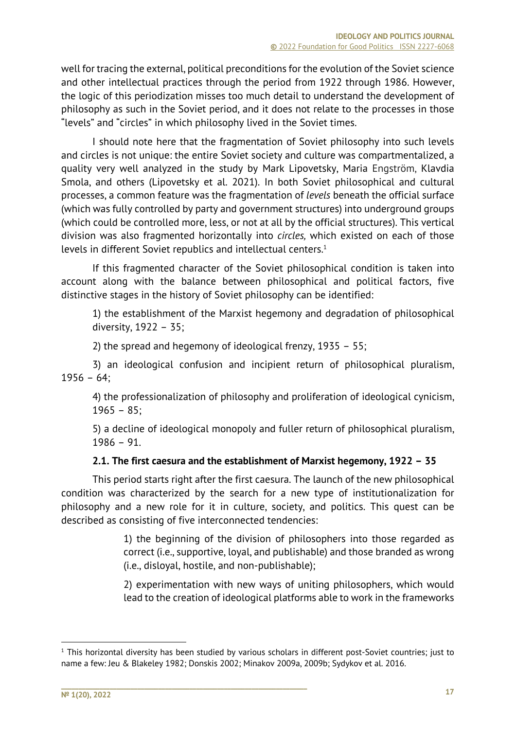well for tracing the external, political preconditions for the evolution of the Soviet science and other intellectual practices through the period from 1922 through 1986. However, the logic of this periodization misses too much detail to understand the development of philosophy as such in the Soviet period, and it does not relate to the processes in those "levels" and "circles" in which philosophy lived in the Soviet times.

I should note here that the fragmentation of Soviet philosophy into such levels and circles is not unique: the entire Soviet society and culture was compartmentalized, a quality very well analyzed in the study by Mark Lipovetsky, Maria Engström, Klavdia Smola, and others (Lipovetsky et al. 2021). In both Soviet philosophical and cultural processes, a common feature was the fragmentation of *levels* beneath the official surface (which was fully controlled by party and government structures) into underground groups (which could be controlled more, less, or not at all by the official structures). This vertical division was also fragmented horizontally into *circles,* which existed on each of those levels in different Soviet republics and intellectual centers.<sup>1</sup>

If this fragmented character of the Soviet philosophical condition is taken into account along with the balance between philosophical and political factors, five distinctive stages in the history of Soviet philosophy can be identified:

1) the establishment of the Marxist hegemony and degradation of philosophical diversity, 1922 – 35;

2) the spread and hegemony of ideological frenzy, 1935 – 55;

3) an ideological confusion and incipient return of philosophical pluralism,  $1956 - 64$ ;

4) the professionalization of philosophy and proliferation of ideological cynicism,  $1965 - 85;$ 

5) a decline of ideological monopoly and fuller return of philosophical pluralism, 1986 – 91.

## **2.1. The first caesura and the establishment of Marxist hegemony, 1922 – 35**

This period starts right after the first caesura. The launch of the new philosophical condition was characterized by the search for a new type of institutionalization for philosophy and a new role for it in culture, society, and politics. This quest can be described as consisting of five interconnected tendencies:

> 1) the beginning of the division of philosophers into those regarded as correct (i.e., supportive, loyal, and publishable) and those branded as wrong (i.e., disloyal, hostile, and non-publishable);

> 2) experimentation with new ways of uniting philosophers, which would lead to the creation of ideological platforms able to work in the frameworks

 $1$  This horizontal diversity has been studied by various scholars in different post-Soviet countries; just to name a few: Jeu & Blakeley 1982; Donskis 2002; Minakov 2009a, 2009b; Sydykov et al. 2016.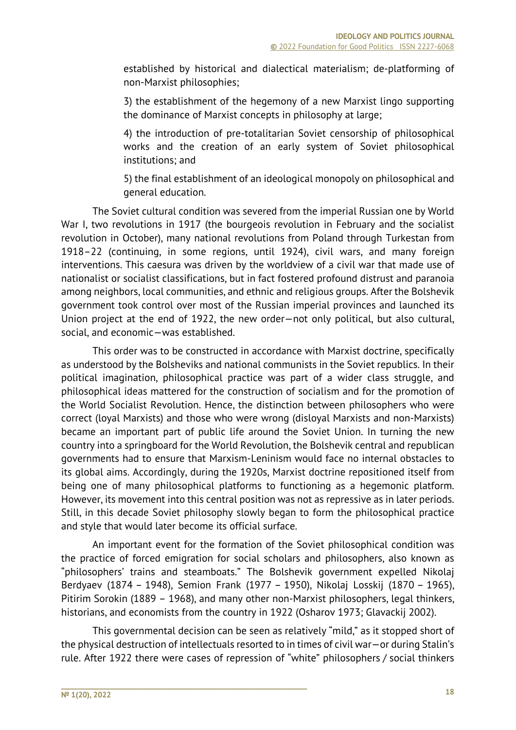established by historical and dialectical materialism; de-platforming of non-Marxist philosophies;

3) the establishment of the hegemony of a new Marxist lingo supporting the dominance of Marxist concepts in philosophy at large;

4) the introduction of pre-totalitarian Soviet censorship of philosophical works and the creation of an early system of Soviet philosophical institutions; and

5) the final establishment of an ideological monopoly on philosophical and general education.

The Soviet cultural condition was severed from the imperial Russian one by World War I, two revolutions in 1917 (the bourgeois revolution in February and the socialist revolution in October), many national revolutions from Poland through Turkestan from 1918–22 (continuing, in some regions, until 1924), civil wars, and many foreign interventions. This caesura was driven by the worldview of a civil war that made use of nationalist or socialist classifications, but in fact fostered profound distrust and paranoia among neighbors, local communities, and ethnic and religious groups. After the Bolshevik government took control over most of the Russian imperial provinces and launched its Union project at the end of 1922, the new order—not only political, but also cultural, social, and economic—was established.

This order was to be constructed in accordance with Marxist doctrine, specifically as understood by the Bolsheviks and national communists in the Soviet republics. In their political imagination, philosophical practice was part of a wider class struggle, and philosophical ideas mattered for the construction of socialism and for the promotion of the World Socialist Revolution. Hence, the distinction between philosophers who were correct (loyal Marxists) and those who were wrong (disloyal Marxists and non-Marxists) became an important part of public life around the Soviet Union. In turning the new country into a springboard for the World Revolution, the Bolshevik central and republican governments had to ensure that Marxism-Leninism would face no internal obstacles to its global aims. Accordingly, during the 1920s, Marxist doctrine repositioned itself from being one of many philosophical platforms to functioning as a hegemonic platform. However, its movement into this central position was not as repressive as in later periods. Still, in this decade Soviet philosophy slowly began to form the philosophical practice and style that would later become its official surface.

An important event for the formation of the Soviet philosophical condition was the practice of forced emigration for social scholars and philosophers, also known as "philosophers' trains and steamboats." The Bolshevik government expelled Nikolaj Berdyaev (1874 – 1948), Semion Frank (1977 – 1950), Nikolaj Losskij (1870 – 1965), Pitirim Sorokin (1889 – 1968), and many other non-Marxist philosophers, legal thinkers, historians, and economists from the country in 1922 (Osharov 1973; Glavackij 2002).

This governmental decision can be seen as relatively "mild," as it stopped short of the physical destruction of intellectuals resorted to in times of civil war—or during Stalin's rule. After 1922 there were cases of repression of "white" philosophers / social thinkers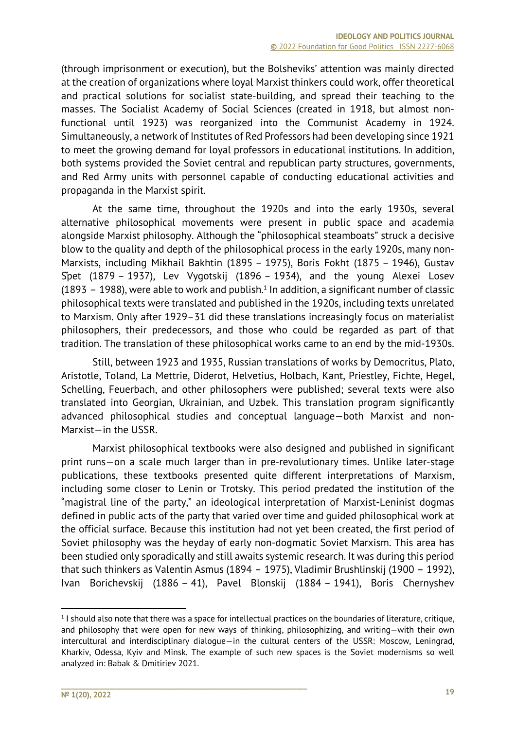(through imprisonment or execution), but the Bolsheviks' attention was mainly directed at the creation of organizations where loyal Marxist thinkers could work, offer theoretical and practical solutions for socialist state-building, and spread their teaching to the masses. The Socialist Academy of Social Sciences (created in 1918, but almost nonfunctional until 1923) was reorganized into the Communist Academy in 1924. Simultaneously, a network of Institutes of Red Professors had been developing since 1921 to meet the growing demand for loyal professors in educational institutions. In addition, both systems provided the Soviet central and republican party structures, governments, and Red Army units with personnel capable of conducting educational activities and propaganda in the Marxist spirit.

At the same time, throughout the 1920s and into the early 1930s, several alternative philosophical movements were present in public space and academia alongside Marxist philosophy. Although the "philosophical steamboats" struck a decisive blow to the quality and depth of the philosophical process in the early 1920s, many non-Marxists, including Mikhail Bakhtin (1895 – 1975), Boris Fokht (1875 – 1946), Gustav Špet (1879 – 1937), Lev Vygotskij (1896 – 1934), and the young Alexei Losev (1893 – 1988), were able to work and publish.<sup>1</sup> In addition, a significant number of classic philosophical texts were translated and published in the 1920s, including texts unrelated to Marxism. Only after 1929–31 did these translations increasingly focus on materialist philosophers, their predecessors, and those who could be regarded as part of that tradition. The translation of these philosophical works came to an end by the mid-1930s.

Still, between 1923 and 1935, Russian translations of works by Democritus, Plato, Aristotle, Toland, La Mettrie, Diderot, Helvetius, Holbach, Kant, Priestley, Fichte, Hegel, Schelling, Feuerbach, and other philosophers were published; several texts were also translated into Georgian, Ukrainian, and Uzbek. This translation program significantly advanced philosophical studies and conceptual language—both Marxist and non-Marxist—in the USSR.

Marxist philosophical textbooks were also designed and published in significant print runs—on a scale much larger than in pre-revolutionary times. Unlike later-stage publications, these textbooks presented quite different interpretations of Marxism, including some closer to Lenin or Trotsky. This period predated the institution of the "magistral line of the party," an ideological interpretation of Marxist-Leninist dogmas defined in public acts of the party that varied over time and guided philosophical work at the official surface. Because this institution had not yet been created, the first period of Soviet philosophy was the heyday of early non-dogmatic Soviet Marxism. This area has been studied only sporadically and still awaits systemic research. It was during this period that such thinkers as Valentin Asmus (1894 – 1975), Vladimir Brushlinskij (1900 – 1992), Ivan Borichevskij (1886 – 41), Pavel Blonskij (1884 – 1941), Boris Chernyshev

<sup>1</sup> I should also note that there was a space for intellectual practices on the boundaries of literature, critique, and philosophy that were open for new ways of thinking, philosophizing, and writing—with their own intercultural and interdisciplinary dialogue—in the cultural centers of the USSR: Moscow, Leningrad, Kharkiv, Odessa, Kyiv and Minsk. The example of such new spaces is the Soviet modernisms so well analyzed in: Babak & Dmitiriev 2021.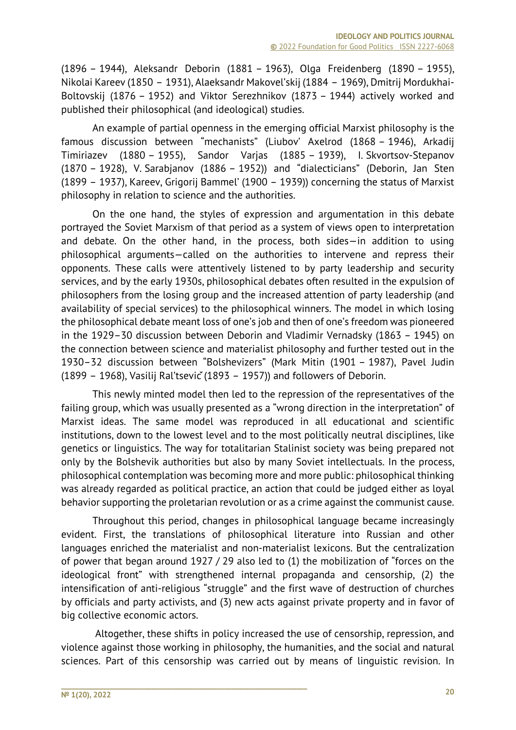(1896 – 1944), Aleksandr Deborin (1881 – 1963), Olga Freidenberg (1890 – 1955), Nikolai Kareеv (1850 – 1931), Alaeksandr Makovel'skij (1884 – 1969), Dmitrij Mordukhai-Boltovskij (1876 – 1952) and Viktor Serezhnikov (1873 – 1944) actively worked and published their philosophical (and ideological) studies.

An example of partial openness in the emerging official Marxist philosophy is the famous discussion between "mechanists" (Liubov' Axelrod (1868 – 1946), Arkadij Timiriazev (1880 – 1955), Sandor Varjas (1885 – 1939), I. Skvortsov-Stepanov (1870 – 1928), V. Sarabjanov (1886 – 1952)) and "dialecticians" (Deborin, Jan Sten (1899 – 1937), Kareev, Grigorij Bammel' (1900 – 1939)) concerning the status of Marxist philosophy in relation to science and the authorities.

On the one hand, the styles of expression and argumentation in this debate portrayed the Soviet Marxism of that period as a system of views open to interpretation and debate. On the other hand, in the process, both sides—in addition to using philosophical arguments—called on the authorities to intervene and repress their opponents. These calls were attentively listened to by party leadership and security services, and by the early 1930s, philosophical debates often resulted in the expulsion of philosophers from the losing group and the increased attention of party leadership (and availability of special services) to the philosophical winners. The model in which losing the philosophical debate meant loss of one's job and then of one's freedom was pioneered in the 1929–30 discussion between Deborin and Vladimir Vernadsky (1863 – 1945) on the connection between science and materialist philosophy and further tested out in the 1930–32 discussion between "Bolshevizers" (Mark Mitin (1901 – 1987), Pavel Judin (1899 – 1968), Vasilij Ral'tsevič(1893 – 1957)) and followers of Deborin.

This newly minted model then led to the repression of the representatives of the failing group, which was usually presented as a "wrong direction in the interpretation" of Marxist ideas. The same model was reproduced in all educational and scientific institutions, down to the lowest level and to the most politically neutral disciplines, like genetics or linguistics. The way for totalitarian Stalinist society was being prepared not only by the Bolshevik authorities but also by many Soviet intellectuals. In the process, philosophical contemplation was becoming more and more public: philosophical thinking was already regarded as political practice, an action that could be judged either as loyal behavior supporting the proletarian revolution or as a crime against the communist cause.

Throughout this period, changes in philosophical language became increasingly evident. First, the translations of philosophical literature into Russian and other languages enriched the materialist and non-materialist lexicons. But the centralization of power that began around 1927 / 29 also led to (1) the mobilization of "forces on the ideological front" with strengthened internal propaganda and censorship, (2) the intensification of anti-religious "struggle" and the first wave of destruction of churches by officials and party activists, and (3) new acts against private property and in favor of big collective economic actors.

Altogether, these shifts in policy increased the use of censorship, repression, and violence against those working in philosophy, the humanities, and the social and natural sciences. Part of this censorship was carried out by means of linguistic revision. In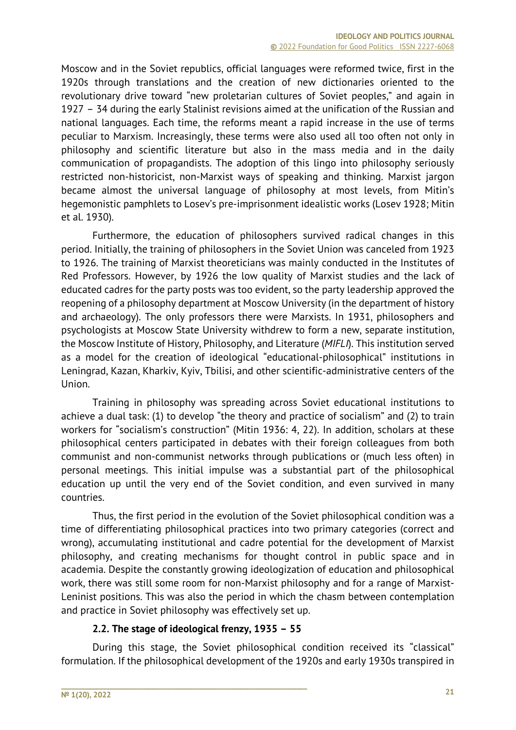Moscow and in the Soviet republics, official languages were reformed twice, first in the 1920s through translations and the creation of new dictionaries oriented to the revolutionary drive toward "new proletarian cultures of Soviet peoples," and again in 1927 – 34 during the early Stalinist revisions aimed at the unification of the Russian and national languages. Each time, the reforms meant a rapid increase in the use of terms peculiar to Marxism. Increasingly, these terms were also used all too often not only in philosophy and scientific literature but also in the mass media and in the daily communication of propagandists. The adoption of this lingo into philosophy seriously restricted non-historicist, non-Marxist ways of speaking and thinking. Marxist jargon became almost the universal language of philosophy at most levels, from Mitin's hegemonistic pamphlets to Losev's pre-imprisonment idealistic works (Losev 1928; Mitin et al. 1930).

Furthermore, the education of philosophers survived radical changes in this period. Initially, the training of philosophers in the Soviet Union was canceled from 1923 to 1926. The training of Marxist theoreticians was mainly conducted in the Institutes of Red Professors. However, by 1926 the low quality of Marxist studies and the lack of educated cadres for the party posts was too evident, so the party leadership approved the reopening of a philosophy department at Moscow University (in the department of history and archaeology). The only professors there were Marxists. In 1931, philosophers and psychologists at Moscow State University withdrew to form a new, separate institution, the Moscow Institute of History, Philosophy, and Literature (*MIFLI*). This institution served as a model for the creation of ideological "educational-philosophical" institutions in Leningrad, Kazan, Kharkiv, Kyiv, Tbilisi, and other scientific-administrative centers of the Union.

Training in philosophy was spreading across Soviet educational institutions to achieve a dual task: (1) to develop "the theory and practice of socialism" and (2) to train workers for "socialism's construction" (Mitin 1936: 4, 22). In addition, scholars at these philosophical centers participated in debates with their foreign colleagues from both communist and non-communist networks through publications or (much less often) in personal meetings. This initial impulse was a substantial part of the philosophical education up until the very end of the Soviet condition, and even survived in many countries.

Thus, the first period in the evolution of the Soviet philosophical condition was a time of differentiating philosophical practices into two primary categories (correct and wrong), accumulating institutional and cadre potential for the development of Marxist philosophy, and creating mechanisms for thought control in public space and in academia. Despite the constantly growing ideologization of education and philosophical work, there was still some room for non-Marxist philosophy and for a range of Marxist-Leninist positions. This was also the period in which the chasm between contemplation and practice in Soviet philosophy was effectively set up.

## **2.2. The stage of ideological frenzy, 1935 – 55**

During this stage, the Soviet philosophical condition received its "classical" formulation. If the philosophical development of the 1920s and early 1930s transpired in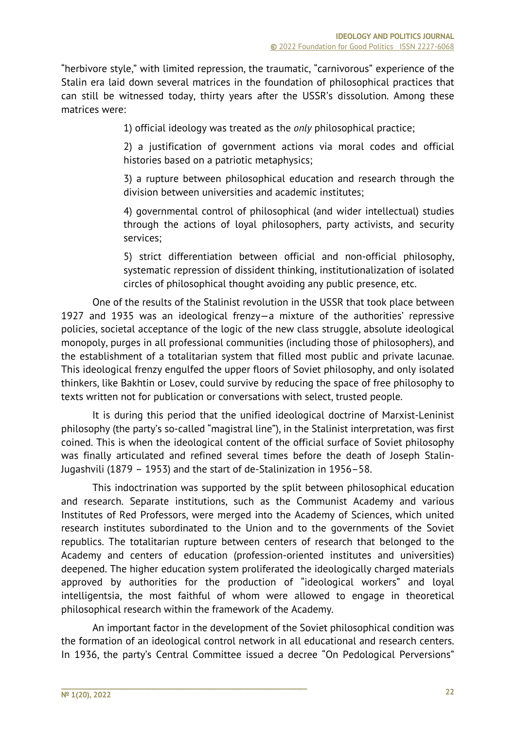"herbivore style," with limited repression, the traumatic, "carnivorous" experience of the Stalin era laid down several matrices in the foundation of philosophical practices that can still be witnessed today, thirty years after the USSR's dissolution. Among these matrices were:

1) official ideology was treated as the *only* philosophical practice;

2) a justification of government actions via moral codes and official histories based on a patriotic metaphysics;

3) a rupture between philosophical education and research through the division between universities and academic institutes;

4) governmental control of philosophical (and wider intellectual) studies through the actions of loyal philosophers, party activists, and security services;

5) strict differentiation between official and non-official philosophy, systematic repression of dissident thinking, institutionalization of isolated circles of philosophical thought avoiding any public presence, etc.

One of the results of the Stalinist revolution in the USSR that took place between 1927 and 1935 was an ideological frenzy—a mixture of the authorities' repressive policies, societal acceptance of the logic of the new class struggle, absolute ideological monopoly, purges in all professional communities (including those of philosophers), and the establishment of a totalitarian system that filled most public and private lacunae. This ideological frenzy engulfed the upper floors of Soviet philosophy, and only isolated thinkers, like Bakhtin or Losev, could survive by reducing the space of free philosophy to texts written not for publication or conversations with select, trusted people.

It is during this period that the unified ideological doctrine of Marxist-Leninist philosophy (the party's so-called "magistral line"), in the Stalinist interpretation, was first coined. This is when the ideological content of the official surface of Soviet philosophy was finally articulated and refined several times before the death of Joseph Stalin-Jugashvili (1879 – 1953) and the start of de-Stalinization in 1956–58.

This indoctrination was supported by the split between philosophical education and research. Separate institutions, such as the Communist Academy and various Institutes of Red Professors, were merged into the Academy of Sciences, which united research institutes subordinated to the Union and to the governments of the Soviet republics. The totalitarian rupture between centers of research that belonged to the Academy and centers of education (profession-oriented institutes and universities) deepened. The higher education system proliferated the ideologically charged materials approved by authorities for the production of "ideological workers" and loyal intelligentsia, the most faithful of whom were allowed to engage in theoretical philosophical research within the framework of the Academy.

An important factor in the development of the Soviet philosophical condition was the formation of an ideological control network in all educational and research centers. In 1936, the party's Central Committee issued a decree "On Pedological Perversions"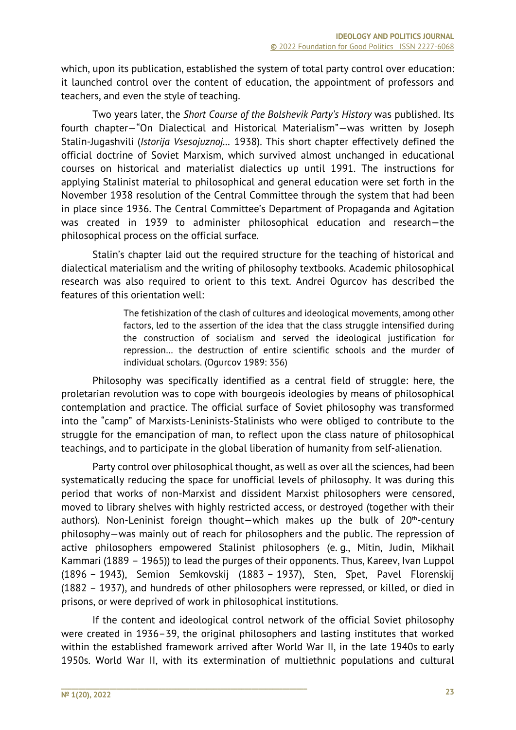which, upon its publication, established the system of total party control over education: it launched control over the content of education, the appointment of professors and teachers, and even the style of teaching.

Two years later, the *Short Course of the Bolshevik Party's History* was published. Its fourth chapter—"On Dialectical and Historical Materialism"—was written by Joseph Stalin-Jugashvili (*Istorija Vsesojuznoj…* 1938). This short chapter effectively defined the official doctrine of Soviet Marxism, which survived almost unchanged in educational courses on historical and materialist dialectics up until 1991. The instructions for applying Stalinist material to philosophical and general education were set forth in the November 1938 resolution of the Central Committee through the system that had been in place since 1936. The Central Committee's Department of Propaganda and Agitation was created in 1939 to administer philosophical education and research—the philosophical process on the official surface.

Stalin's chapter laid out the required structure for the teaching of historical and dialectical materialism and the writing of philosophy textbooks. Academic philosophical research was also required to orient to this text. Andrei Ogurcov has described the features of this orientation well:

> The fetishization of the clash of cultures and ideological movements, among other factors, led to the assertion of the idea that the class struggle intensified during the construction of socialism and served the ideological justification for repression… the destruction of entire scientific schools and the murder of individual scholars. (Ogurcov 1989: 356)

Philosophy was specifically identified as a central field of struggle: here, the proletarian revolution was to cope with bourgeois ideologies by means of philosophical contemplation and practice. The official surface of Soviet philosophy was transformed into the "camp" of Marxists-Leninists-Stalinists who were obliged to contribute to the struggle for the emancipation of man, to reflect upon the class nature of philosophical teachings, and to participate in the global liberation of humanity from self-alienation.

Party control over philosophical thought, as well as over all the sciences, had been systematically reducing the space for unofficial levels of philosophy. It was during this period that works of non-Marxist and dissident Marxist philosophers were censored, moved to library shelves with highly restricted access, or destroyed (together with their authors). Non-Leninist foreign thought-which makes up the bulk of  $20<sup>th</sup>$ -century philosophy—was mainly out of reach for philosophers and the public. The repression of active philosophers empowered Stalinist philosophers (e. g., Mitin, Judin, Mikhail Kammari (1889 – 1965)) to lead the purges of their opponents. Thus, Kareev, Ivan Luppol (1896 – 1943), Semion Semkovskij (1883 – 1937), Sten, Špet, Pavel Florenskij (1882 – 1937), and hundreds of other philosophers were repressed, or killed, or died in prisons, or were deprived of work in philosophical institutions.

If the content and ideological control network of the official Soviet philosophy were created in 1936–39, the original philosophers and lasting institutes that worked within the established framework arrived after World War II, in the late 1940s to early 1950s. World War II, with its extermination of multiethnic populations and cultural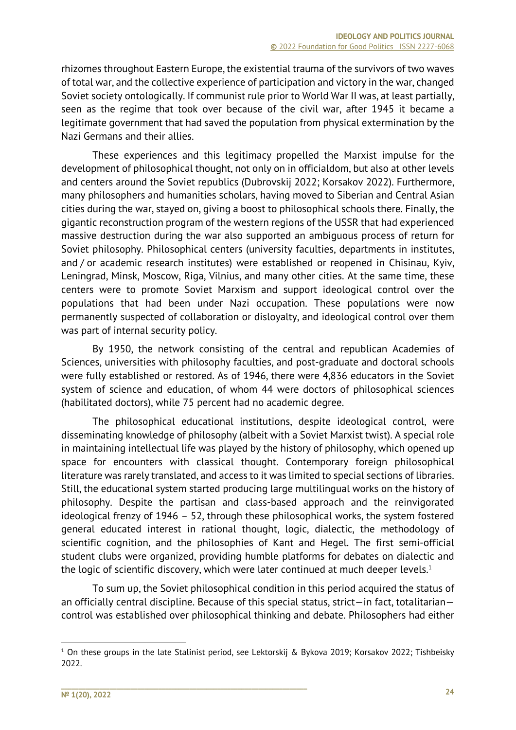rhizomes throughout Eastern Europe, the existential trauma of the survivors of two waves of total war, and the collective experience of participation and victory in the war, changed Soviet society ontologically. If communist rule prior to World War II was, at least partially, seen as the regime that took over because of the civil war, after 1945 it became a legitimate government that had saved the population from physical extermination by the Nazi Germans and their allies.

These experiences and this legitimacy propelled the Marxist impulse for the development of philosophical thought, not only on in officialdom, but also at other levels and centers around the Soviet republics (Dubrovskij 2022; Korsakov 2022). Furthermore, many philosophers and humanities scholars, having moved to Siberian and Central Asian cities during the war, stayed on, giving a boost to philosophical schools there. Finally, the gigantic reconstruction program of the western regions of the USSR that had experienced massive destruction during the war also supported an ambiguous process of return for Soviet philosophy. Philosophical centers (university faculties, departments in institutes, and / or academic research institutes) were established or reopened in Chisinau, Kyiv, Leningrad, Minsk, Moscow, Riga, Vilnius, and many other cities. At the same time, these centers were to promote Soviet Marxism and support ideological control over the populations that had been under Nazi occupation. These populations were now permanently suspected of collaboration or disloyalty, and ideological control over them was part of internal security policy.

By 1950, the network consisting of the central and republican Academies of Sciences, universities with philosophy faculties, and post-graduate and doctoral schools were fully established or restored. As of 1946, there were 4,836 educators in the Soviet system of science and education, of whom 44 were doctors of philosophical sciences (habilitated doctors), while 75 percent had no academic degree.

The philosophical educational institutions, despite ideological control, were disseminating knowledge of philosophy (albeit with a Soviet Marxist twist). A special role in maintaining intellectual life was played by the history of philosophy, which opened up space for encounters with classical thought. Contemporary foreign philosophical literature was rarely translated, and access to it was limited to special sections of libraries. Still, the educational system started producing large multilingual works on the history of philosophy. Despite the partisan and class-based approach and the reinvigorated ideological frenzy of 1946 – 52, through these philosophical works, the system fostered general educated interest in rational thought, logic, dialectic, the methodology of scientific cognition, and the philosophies of Kant and Hegel. The first semi-official student clubs were organized, providing humble platforms for debates on dialectic and the logic of scientific discovery, which were later continued at much deeper levels.<sup>1</sup>

To sum up, the Soviet philosophical condition in this period acquired the status of an officially central discipline. Because of this special status, strict—in fact, totalitarian control was established over philosophical thinking and debate. Philosophers had either

<sup>1</sup> On these groups in the late Stalinist period, see Lektorskij & Bykova 2019; Korsakov 2022; Tishbeisky 2022.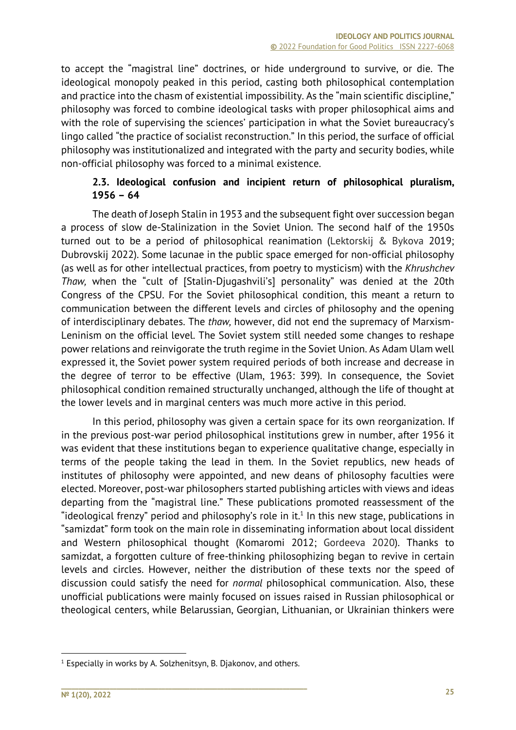to accept the "magistral line" doctrines, or hide underground to survive, or die. The ideological monopoly peaked in this period, casting both philosophical contemplation and practice into the chasm of existential impossibility. As the "main scientific discipline," philosophy was forced to combine ideological tasks with proper philosophical aims and with the role of supervising the sciences' participation in what the Soviet bureaucracy's lingo called "the practice of socialist reconstruction." In this period, the surface of official philosophy was institutionalized and integrated with the party and security bodies, while non-official philosophy was forced to a minimal existence.

## **2.3. Ideological confusion and incipient return of philosophical pluralism, 1956 – 64**

The death of Joseph Stalin in 1953 and the subsequent fight over succession began a process of slow de-Stalinization in the Soviet Union. The second half of the 1950s turned out to be a period of philosophical reanimation (Lektorskij & Bykova 2019; Dubrovskij 2022). Some lacunae in the public space emerged for non-official philosophy (as well as for other intellectual practices, from poetry to mysticism) with the *Khrushchev Thaw,* when the "cult of [Stalin-Djugashvili's] personality" was denied at the 20th Congress of the CPSU. For the Soviet philosophical condition, this meant a return to communication between the different levels and circles of philosophy and the opening of interdisciplinary debates. The *thaw,* however, did not end the supremacy of Marxism-Leninism on the official level. The Soviet system still needed some changes to reshape power relations and reinvigorate the truth regime in the Soviet Union. As Adam Ulam well expressed it, the Soviet power system required periods of both increase and decrease in the degree of terror to be effective (Ulam, 1963: 399). In consequence, the Soviet philosophical condition remained structurally unchanged, although the life of thought at the lower levels and in marginal centers was much more active in this period.

In this period, philosophy was given a certain space for its own reorganization. If in the previous post-war period philosophical institutions grew in number, after 1956 it was evident that these institutions began to experience qualitative change, especially in terms of the people taking the lead in them. In the Soviet republics, new heads of institutes of philosophy were appointed, and new deans of philosophy faculties were elected. Moreover, post-war philosophers started publishing articles with views and ideas departing from the "magistral line." These publications promoted reassessment of the "ideological frenzy" period and philosophy's role in it.<sup>1</sup> In this new stage, publications in "samizdat" form took on the main role in disseminating information about local dissident and Western philosophical thought (Komaromi 2012; Gordeeva 2020). Thanks to samizdat, a forgotten culture of free-thinking philosophizing began to revive in certain levels and circles. However, neither the distribution of these texts nor the speed of discussion could satisfy the need for *normal* philosophical communication. Also, these unofficial publications were mainly focused on issues raised in Russian philosophical or theological centers, while Belarussian, Georgian, Lithuanian, or Ukrainian thinkers were

 $1$  Especially in works by A. Solzhenitsyn, B. Djakonov, and others.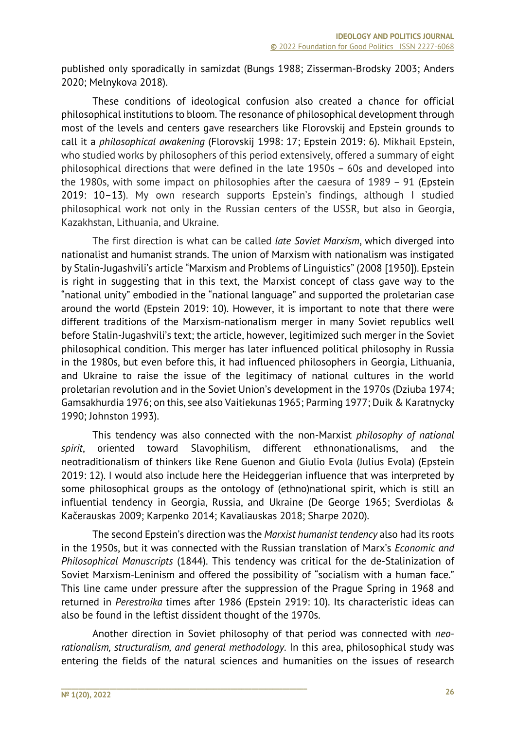published only sporadically in samizdat (Bungs 1988; Zisserman-Brodsky 2003; Anders 2020; Melnykova 2018).

These conditions of ideological confusion also created a chance for official philosophical institutions to bloom. The resonance of philosophical development through most of the levels and centers gave researchers like Florovskij and Epstein grounds to call it a *philosophical awakening* (Florovskij 1998: 17; Epstein 2019: 6). Mikhail Epstein, who studied works by philosophers of this period extensively, offered a summary of eight philosophical directions that were defined in the late 1950s – 60s and developed into the 1980s, with some impact on philosophies after the caesura of 1989 – 91 (Epstein 2019: 10–13). My own research supports Epstein's findings, although I studied philosophical work not only in the Russian centers of the USSR, but also in Georgia, Kazakhstan, Lithuania, and Ukraine.

The first direction is what can be called *late Soviet Marxism*, which diverged into nationalist and humanist strands. The union of Marxism with nationalism was instigated by Stalin-Jugashvili's article "Marxism and Problems of Linguistics" (2008 [1950]). Epstein is right in suggesting that in this text, the Marxist concept of class gave way to the "national unity" embodied in the "national language" and supported the proletarian case around the world (Epstein 2019: 10). However, it is important to note that there were different traditions of the Marxism-nationalism merger in many Soviet republics well before Stalin-Jugashvili's text; the article, however, legitimized such merger in the Soviet philosophical condition. This merger has later influenced political philosophy in Russia in the 1980s, but even before this, it had influenced philosophers in Georgia, Lithuania, and Ukraine to raise the issue of the legitimacy of national cultures in the world proletarian revolution and in the Soviet Union's development in the 1970s (Dziuba 1974; Gamsakhurdia 1976; on this, see also Vaitiekunas 1965; Parming 1977; Duik & Karatnycky 1990; Johnston 1993).

This tendency was also connected with the non-Marxist *philosophy of national spirit*, oriented toward Slavophilism, different ethnonationalisms, and the neotraditionalism of thinkers like Rene Guenon and Giulio Evola (Julius Evola) (Epstein 2019: 12). I would also include here the Heideggerian influence that was interpreted by some philosophical groups as the ontology of (ethno)national spirit, which is still an influential tendency in Georgia, Russia, and Ukraine (De George 1965; Sverdiolas & Kačerauskas 2009; Karpenko 2014; Kavaliauskas 2018; Sharpe 2020).

The second Epstein's direction was the *Marxist humanist tendency* also had its roots in the 1950s, but it was connected with the Russian translation of Marx's *Economic and Philosophical Manuscripts* (1844). This tendency was critical for the de-Stalinization of Soviet Marxism-Leninism and offered the possibility of "socialism with a human face." This line came under pressure after the suppression of the Prague Spring in 1968 and returned in *Perestroika* times after 1986 (Epstein 2919: 10). Its characteristic ideas can also be found in the leftist dissident thought of the 1970s.

Another direction in Soviet philosophy of that period was connected with *neorationalism, structuralism, and general methodology*. In this area, philosophical study was entering the fields of the natural sciences and humanities on the issues of research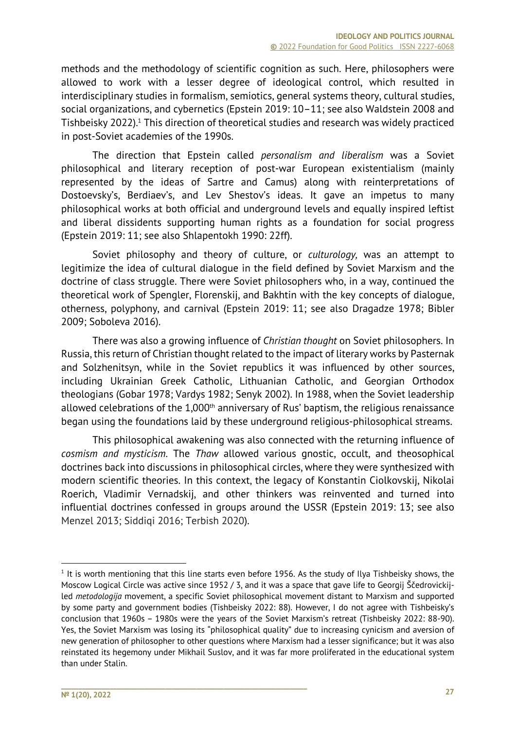methods and the methodology of scientific cognition as such. Here, philosophers were allowed to work with a lesser degree of ideological control, which resulted in interdisciplinary studies in formalism, semiotics, general systems theory, cultural studies, social organizations, and cybernetics (Epstein 2019: 10–11; see also Waldstein 2008 and Tishbeisky 2022).1 This direction of theoretical studies and research was widely practiced in post-Soviet academies of the 1990s.

The direction that Epstein called *personalism and liberalism* was a Soviet philosophical and literary reception of post-war European existentialism (mainly represented by the ideas of Sartre and Camus) along with reinterpretations of Dostoevsky's, Berdiaev's, and Lev Shestov's ideas. It gave an impetus to many philosophical works at both official and underground levels and equally inspired leftist and liberal dissidents supporting human rights as a foundation for social progress (Epstein 2019: 11; see also Shlapentokh 1990: 22ff).

Soviet philosophy and theory of culture, or *culturology,* was an attempt to legitimize the idea of cultural dialogue in the field defined by Soviet Marxism and the doctrine of class struggle. There were Soviet philosophers who, in a way, continued the theoretical work of Spengler, Florenskij, and Bakhtin with the key concepts of dialogue, otherness, polyphony, and carnival (Epstein 2019: 11; see also Dragadze 1978; Bibler 2009; Soboleva 2016).

There was also a growing influence of *Christian thought* on Soviet philosophers. In Russia, this return of Christian thought related to the impact of literary works by Pasternak and Solzhenitsyn, while in the Soviet republics it was influenced by other sources, including Ukrainian Greek Catholic, Lithuanian Catholic, and Georgian Orthodox theologians (Gobar 1978; Vardys 1982; Senyk 2002). In 1988, when the Soviet leadership allowed celebrations of the  $1,000$ <sup>th</sup> anniversary of Rus' baptism, the religious renaissance began using the foundations laid by these underground religious-philosophical streams.

This philosophical awakening was also connected with the returning influence of *cosmism and mysticism*. The *Thaw* allowed various gnostic, occult, and theosophical doctrines back into discussions in philosophical circles, where they were synthesized with modern scientific theories. In this context, the legacy of Konstantin Ciolkovskij, Nikolai Roerich, Vladimir Vernadskij, and other thinkers was reinvented and turned into influential doctrines confessed in groups around the USSR (Epstein 2019: 13; see also Menzel 2013; Siddiqi 2016; Terbish 2020).

 $1$  It is worth mentioning that this line starts even before 1956. As the study of Ilya Tishbeisky shows, the Moscow Logical Circle was active since 1952 / 3, and it was a space that gave life to Georgij Ščedrovickijled *metodologija* movement, a specific Soviet philosophical movement distant to Marxism and supported by some party and government bodies (Tishbeisky 2022: 88). However, I do not agree with Tishbeisky's conclusion that 1960s – 1980s were the years of the Soviet Marxism's retreat (Tishbeisky 2022: 88-90). Yes, the Soviet Marxism was losing its "philosophical quality" due to increasing cynicism and aversion of new generation of philosopher to other questions where Marxism had a lesser significance; but it was also reinstated its hegemony under Mikhail Suslov, and it was far more proliferated in the educational system than under Stalin.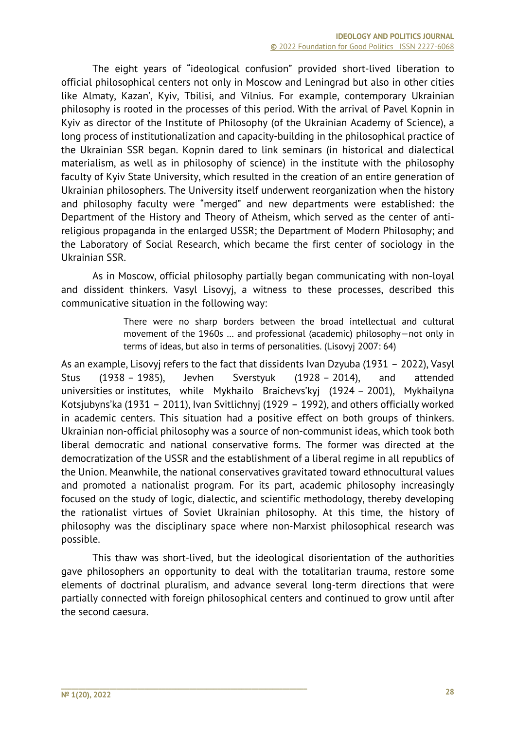The eight years of "ideological confusion" provided short-lived liberation to official philosophical centers not only in Moscow and Leningrad but also in other cities like Almaty, Kazan', Kyiv, Tbilisi, and Vilnius. For example, contemporary Ukrainian philosophy is rooted in the processes of this period. With the arrival of Pavel Kopnin in Kyiv as director of the Institute of Philosophy (of the Ukrainian Academy of Science), a long process of institutionalization and capacity-building in the philosophical practice of the Ukrainian SSR began. Kopnin dared to link seminars (in historical and dialectical materialism, as well as in philosophy of science) in the institute with the philosophy faculty of Kyiv State University, which resulted in the creation of an entire generation of Ukrainian philosophers. The University itself underwent reorganization when the history and philosophy faculty were "merged" and new departments were established: the Department of the History and Theory of Atheism, which served as the center of antireligious propaganda in the enlarged USSR; the Department of Modern Philosophy; and the Laboratory of Social Research, which became the first center of sociology in the Ukrainian SSR.

As in Moscow, official philosophy partially began communicating with non-loyal and dissident thinkers. Vasyl Lisovyj, a witness to these processes, described this communicative situation in the following way:

> There were no sharp borders between the broad intellectual and cultural movement of the 1960s … and professional (academic) philosophy—not only in terms of ideas, but also in terms of personalities. (Lisovyj 2007: 64)

As an example, Lisovyj refers to the fact that dissidents Ivan Dzyuba (1931 – 2022), Vasyl Stus (1938 – 1985), Jevhen Sverstyuk (1928 – 2014), and attended universities or institutes, while Mykhailo Braichevs'kyj (1924 – 2001), Mykhailyna Kotsjubyns'ka (1931 – 2011), Ivan Svitlichnyj (1929 – 1992), and others officially worked in academic centers. This situation had a positive effect on both groups of thinkers. Ukrainian non-official philosophy was a source of non-communist ideas, which took both liberal democratic and national conservative forms. The former was directed at the democratization of the USSR and the establishment of a liberal regime in all republics of the Union. Meanwhile, the national conservatives gravitated toward ethnocultural values and promoted a nationalist program. For its part, academic philosophy increasingly focused on the study of logic, dialectic, and scientific methodology, thereby developing the rationalist virtues of Soviet Ukrainian philosophy. At this time, the history of philosophy was the disciplinary space where non-Marxist philosophical research was possible.

This thaw was short-lived, but the ideological disorientation of the authorities gave philosophers an opportunity to deal with the totalitarian trauma, restore some elements of doctrinal pluralism, and advance several long-term directions that were partially connected with foreign philosophical centers and continued to grow until after the second caesura.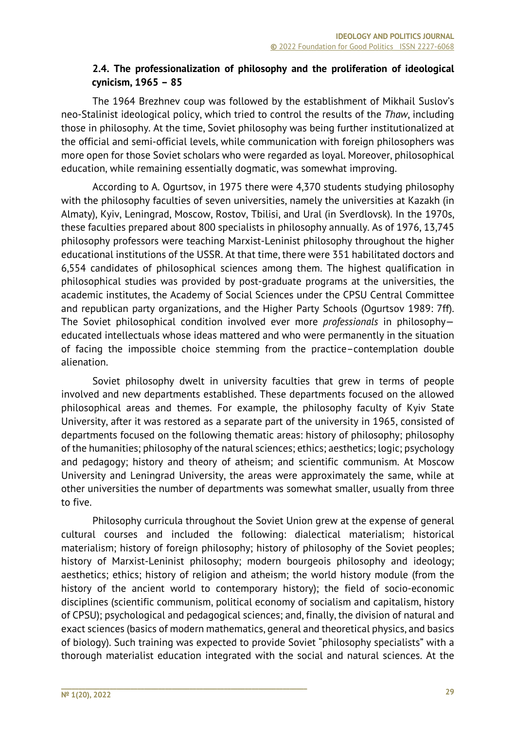### **2.4. The professionalization of philosophy and the proliferation of ideological cynicism, 1965 – 85**

The 1964 Brezhnev coup was followed by the establishment of Mikhail Suslov's neo-Stalinist ideological policy, which tried to control the results of the *Thaw*, including those in philosophy. At the time, Soviet philosophy was being further institutionalized at the official and semi-official levels, while communication with foreign philosophers was more open for those Soviet scholars who were regarded as loyal. Moreover, philosophical education, while remaining essentially dogmatic, was somewhat improving.

According to A. Ogurtsov, in 1975 there were 4,370 students studying philosophy with the philosophy faculties of seven universities, namely the universities at Kazakh (in Almaty), Kyiv, Leningrad, Moscow, Rostov, Tbilisi, and Ural (in Sverdlovsk). In the 1970s, these faculties prepared about 800 specialists in philosophy annually. As of 1976, 13,745 philosophy professors were teaching Marxist-Leninist philosophy throughout the higher educational institutions of the USSR. At that time, there were 351 habilitated doctors and 6,554 candidates of philosophical sciences among them. The highest qualification in philosophical studies was provided by post-graduate programs at the universities, the academic institutes, the Academy of Social Sciences under the CPSU Central Committee and republican party organizations, and the Higher Party Schools (Ogurtsov 1989: 7ff). The Soviet philosophical condition involved ever more *professionals* in philosophy educated intellectuals whose ideas mattered and who were permanently in the situation of facing the impossible choice stemming from the practice–contemplation double alienation.

Soviet philosophy dwelt in university faculties that grew in terms of people involved and new departments established. These departments focused on the allowed philosophical areas and themes. For example, the philosophy faculty of Kyiv State University, after it was restored as a separate part of the university in 1965, consisted of departments focused on the following thematic areas: history of philosophy; philosophy of the humanities; philosophy of the natural sciences; ethics; aesthetics; logic; psychology and pedagogy; history and theory of atheism; and scientific communism. At Moscow University and Leningrad University, the areas were approximately the same, while at other universities the number of departments was somewhat smaller, usually from three to five.

Philosophy curricula throughout the Soviet Union grew at the expense of general cultural courses and included the following: dialectical materialism; historical materialism; history of foreign philosophy; history of philosophy of the Soviet peoples; history of Marxist-Leninist philosophy; modern bourgeois philosophy and ideology; aesthetics; ethics; history of religion and atheism; the world history module (from the history of the ancient world to contemporary history); the field of socio-economic disciplines (scientific communism, political economy of socialism and capitalism, history of CPSU); psychological and pedagogical sciences; and, finally, the division of natural and exact sciences (basics of modern mathematics, general and theoretical physics, and basics of biology). Such training was expected to provide Soviet "philosophy specialists" with a thorough materialist education integrated with the social and natural sciences. At the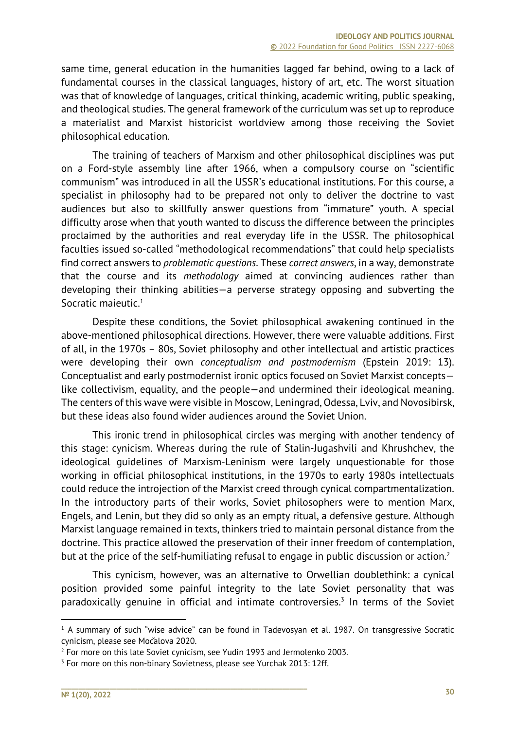same time, general education in the humanities lagged far behind, owing to a lack of fundamental courses in the classical languages, history of art, etc. The worst situation was that of knowledge of languages, critical thinking, academic writing, public speaking, and theological studies. The general framework of the curriculum was set up to reproduce a materialist and Marxist historicist worldview among those receiving the Soviet philosophical education.

The training of teachers of Marxism and other philosophical disciplines was put on a Ford-style assembly line after 1966, when a compulsory course on "scientific communism" was introduced in all the USSR's educational institutions. For this course, a specialist in philosophy had to be prepared not only to deliver the doctrine to vast audiences but also to skillfully answer questions from "immature" youth. A special difficulty arose when that youth wanted to discuss the difference between the principles proclaimed by the authorities and real everyday life in the USSR. The philosophical faculties issued so-called "methodological recommendations" that could help specialists find correct answers to *problematic questions*. These *correct answers*, in a way, demonstrate that the course and its *methodology* aimed at convincing audiences rather than developing their thinking abilities—a perverse strategy opposing and subverting the Socratic maieutic.<sup>1</sup>

Despite these conditions, the Soviet philosophical awakening continued in the above-mentioned philosophical directions. However, there were valuable additions. First of all, in the 1970s – 80s, Soviet philosophy and other intellectual and artistic practices were developing their own *conceptualism and postmodernism* (Epstein 2019: 13). Conceptualist and early postmodernist ironic optics focused on Soviet Marxist concepts like collectivism, equality, and the people—and undermined their ideological meaning. The centers of this wave were visible in Moscow, Leningrad, Odessa, Lviv, and Novosibirsk, but these ideas also found wider audiences around the Soviet Union.

This ironic trend in philosophical circles was merging with another tendency of this stage: cynicism. Whereas during the rule of Stalin-Jugashvili and Khrushchev, the ideological guidelines of Marxism-Leninism were largely unquestionable for those working in official philosophical institutions, in the 1970s to early 1980s intellectuals could reduce the introjection of the Marxist creed through cynical compartmentalization. In the introductory parts of their works, Soviet philosophers were to mention Marx, Engels, and Lenin, but they did so only as an empty ritual, a defensive gesture. Although Marxist language remained in texts, thinkers tried to maintain personal distance from the doctrine. This practice allowed the preservation of their inner freedom of contemplation, but at the price of the self-humiliating refusal to engage in public discussion or action.<sup>2</sup>

This cynicism, however, was an alternative to Orwellian doublethink: a cynical position provided some painful integrity to the late Soviet personality that was paradoxically genuine in official and intimate controversies.<sup>3</sup> In terms of the Soviet

<sup>&</sup>lt;sup>1</sup> A summary of such "wise advice" can be found in Tadevosyan et al. 1987. On transgressive Socratic cynicism, please see Močalova 2020.

<sup>2</sup> For more on this late Soviet cynicism, see Yudin 1993 and Jermolenko 2003.

<sup>&</sup>lt;sup>3</sup> For more on this non-binary Sovietness, please see Yurchak 2013: 12ff.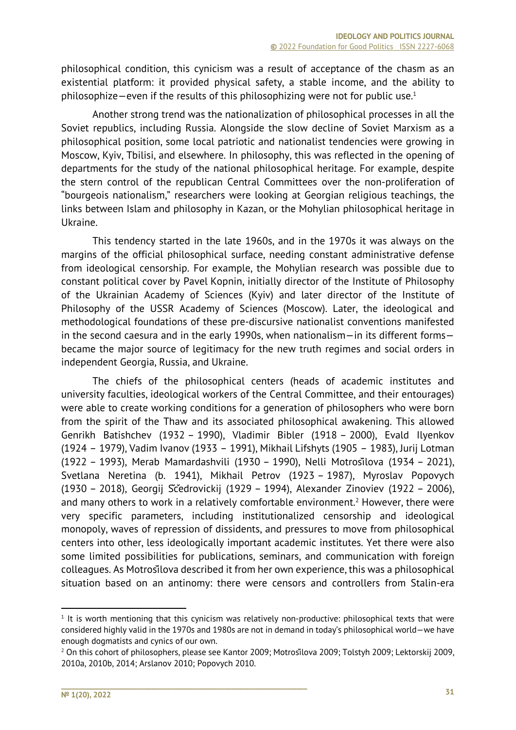philosophical condition, this cynicism was a result of acceptance of the chasm as an existential platform: it provided physical safety, a stable income, and the ability to philosophize—even if the results of this philosophizing were not for public use.<sup>1</sup>

Another strong trend was the nationalization of philosophical processes in all the Soviet republics, including Russia. Alongside the slow decline of Soviet Marxism as a philosophical position, some local patriotic and nationalist tendencies were growing in Moscow, Kyiv, Tbilisi, and elsewhere. In philosophy, this was reflected in the opening of departments for the study of the national philosophical heritage. For example, despite the stern control of the republican Central Committees over the non-proliferation of "bourgeois nationalism," researchers were looking at Georgian religious teachings, the links between Islam and philosophy in Kazan, or the Mohylian philosophical heritage in Ukraine.

This tendency started in the late 1960s, and in the 1970s it was always on the margins of the official philosophical surface, needing constant administrative defense from ideological censorship. For example, the Mohylian research was possible due to constant political cover by Pavel Kopnin, initially director of the Institute of Philosophy of the Ukrainian Academy of Sciences (Kyiv) and later director of the Institute of Philosophy of the USSR Academy of Sciences (Moscow). Later, the ideological and methodological foundations of these pre-discursive nationalist conventions manifested in the second caesura and in the early 1990s, when nationalism—in its different forms became the major source of legitimacy for the new truth regimes and social orders in independent Georgia, Russia, and Ukraine.

The chiefs of the philosophical centers (heads of academic institutes and university faculties, ideological workers of the Central Committee, and their entourages) were able to create working conditions for a generation of philosophers who were born from the spirit of the Thaw and its associated philosophical awakening. This allowed Genrikh Batishchev (1932 – 1990), Vladimir Bibler (1918 – 2000), Evald Ilyenkov (1924 – 1979), Vadim Ivanov (1933 – 1991), Mikhail Lifshyts (1905 – 1983), Jurij Lotman (1922 – 1993), Merab Mamardashvili (1930 – 1990), Nelli Motrošilova (1934 – 2021), Svetlana Neretina (b. 1941), Mikhail Petrov (1923 – 1987), Myroslav Popovych (1930 – 2018), Georgij Ščedrovickij (1929 – 1994), Alexander Zinoviev (1922 – 2006), and many others to work in a relatively comfortable environment.<sup>2</sup> However, there were very specific parameters, including institutionalized censorship and ideological monopoly, waves of repression of dissidents, and pressures to move from philosophical centers into other, less ideologically important academic institutes. Yet there were also some limited possibilities for publications, seminars, and communication with foreign colleagues. As Motrošilova described it from her own experience, this was a philosophical situation based on an antinomy: there were censors and controllers from Stalin-era

 $1$  It is worth mentioning that this cynicism was relatively non-productive: philosophical texts that were considered highly valid in the 1970s and 1980s are not in demand in today's philosophical world—we have enough dogmatists and cynics of our own.

<sup>&</sup>lt;sup>2</sup> On this cohort of philosophers, please see Kantor 2009; Motrosilova 2009; Tolstyh 2009; Lektorskij 2009, 2010a, 2010b, 2014; Arslanov 2010; Popovych 2010.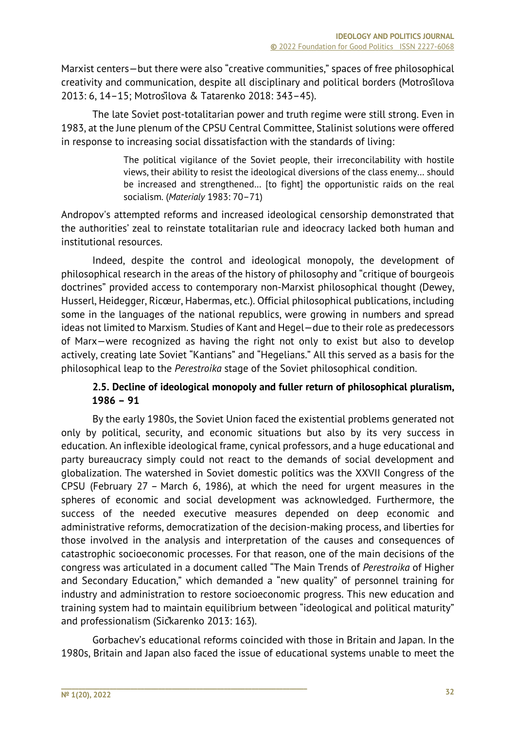Marxist centers—but there were also "creative communities," spaces of free philosophical creativity and communication, despite all disciplinary and political borders (Motrošilova 2013: 6, 14–15; Motrošilova & Tatarenko 2018: 343–45).

The late Soviet post-totalitarian power and truth regime were still strong. Even in 1983, at the June plenum of the CPSU Central Committee, Stalinist solutions were offered in response to increasing social dissatisfaction with the standards of living:

> The political vigilance of the Soviet people, their irreconcilability with hostile views, their ability to resist the ideological diversions of the class enemy… should be increased and strengthened… [to fight] the opportunistic raids on the real socialism. (*Materialy* 1983: 70–71)

Andropov's attempted reforms and increased ideological censorship demonstrated that the authorities' zeal to reinstate totalitarian rule and ideocracy lacked both human and institutional resources.

Indeed, despite the control and ideological monopoly, the development of philosophical research in the areas of the history of philosophy and "critique of bourgeois doctrines" provided access to contemporary non-Marxist philosophical thought (Dewey, Husserl, Heidegger, Ricœur, Habermas, etc.). Official philosophical publications, including some in the languages of the national republics, were growing in numbers and spread ideas not limited to Marxism. Studies of Kant and Hegel—due to their role as predecessors of Marx—were recognized as having the right not only to exist but also to develop actively, creating late Soviet "Kantians" and "Hegelians." All this served as a basis for the philosophical leap to the *Perestroika* stage of the Soviet philosophical condition.

# **2.5. Decline of ideological monopoly and fuller return of philosophical pluralism, 1986 – 91**

By the early 1980s, the Soviet Union faced the existential problems generated not only by political, security, and economic situations but also by its very success in education. An inflexible ideological frame, cynical professors, and a huge educational and party bureaucracy simply could not react to the demands of social development and globalization. The watershed in Soviet domestic politics was the XXVII Congress of the CPSU (February 27 – March 6, 1986), at which the need for urgent measures in the spheres of economic and social development was acknowledged. Furthermore, the success of the needed executive measures depended on deep economic and administrative reforms, democratization of the decision-making process, and liberties for those involved in the analysis and interpretation of the causes and consequences of catastrophic socioeconomic processes. For that reason, one of the main decisions of the congress was articulated in a document called "The Main Trends of *Perestroika* of Higher and Secondary Education," which demanded a "new quality" of personnel training for industry and administration to restore socioeconomic progress. This new education and training system had to maintain equilibrium between "ideological and political maturity" and professionalism (Sičkarenko 2013: 163).

Gorbachev's educational reforms coincided with those in Britain and Japan. In the 1980s, Britain and Japan also faced the issue of educational systems unable to meet the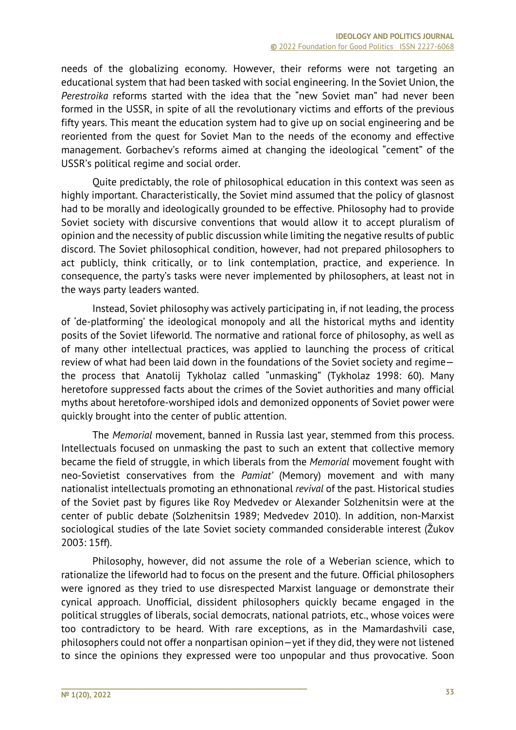needs of the globalizing economy. However, their reforms were not targeting an educational system that had been tasked with social engineering. In the Soviet Union, the *Perestroika* reforms started with the idea that the "new Soviet man" had never been formed in the USSR, in spite of all the revolutionary victims and efforts of the previous fifty years. This meant the education system had to give up on social engineering and be reoriented from the quest for Soviet Man to the needs of the economy and effective management. Gorbachev's reforms aimed at changing the ideological "cement" of the USSR's political regime and social order.

Quite predictably, the role of philosophical education in this context was seen as highly important. Characteristically, the Soviet mind assumed that the policy of glasnost had to be morally and ideologically grounded to be effective. Philosophy had to provide Soviet society with discursive conventions that would allow it to accept pluralism of opinion and the necessity of public discussion while limiting the negative results of public discord. The Soviet philosophical condition, however, had not prepared philosophers to act publicly, think critically, or to link contemplation, practice, and experience. In consequence, the party's tasks were never implemented by philosophers, at least not in the ways party leaders wanted.

Instead, Soviet philosophy was actively participating in, if not leading, the process of 'de-platforming' the ideological monopoly and all the historical myths and identity posits of the Soviet lifeworld. The normative and rational force of philosophy, as well as of many other intellectual practices, was applied to launching the process of critical review of what had been laid down in the foundations of the Soviet society and regime the process that Anatolij Tykholaz called "unmasking" (Tykholaz 1998: 60). Many heretofore suppressed facts about the crimes of the Soviet authorities and many official myths about heretofore-worshiped idols and demonized opponents of Soviet power were quickly brought into the center of public attention.

The *Memorial* movement, banned in Russia last year, stemmed from this process. Intellectuals focused on unmasking the past to such an extent that collective memory became the field of struggle, in which liberals from the *Memorial* movement fought with neo-Sovietist conservatives from the *Pamiat'* (Memory) movement and with many nationalist intellectuals promoting an ethnonational *revival* of the past. Historical studies of the Soviet past by figures like Roy Medvedev or Alexander Solzhenitsin were at the center of public debate (Solzhenitsin 1989; Medvedev 2010). In addition, non-Marxist sociological studies of the late Soviet society commanded considerable interest (Žukov 2003: 15ff).

Philosophy, however, did not assume the role of a Weberian science, which to rationalize the lifeworld had to focus on the present and the future. Official philosophers were ignored as they tried to use disrespected Marxist language or demonstrate their cynical approach. Unofficial, dissident philosophers quickly became engaged in the political struggles of liberals, social democrats, national patriots, etc., whose voices were too contradictory to be heard. With rare exceptions, as in the Mamardashvili case, philosophers could not offer a nonpartisan opinion—yet if they did, they were not listened to since the opinions they expressed were too unpopular and thus provocative. Soon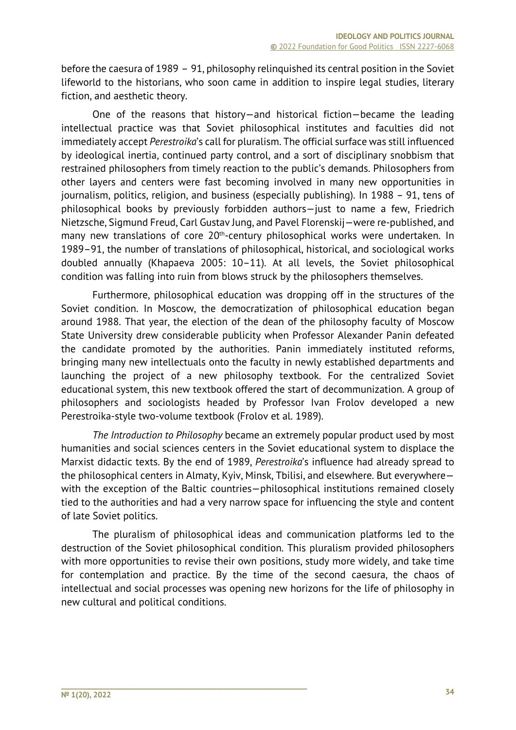before the caesura of 1989 – 91, philosophy relinquished its central position in the Soviet lifeworld to the historians, who soon came in addition to inspire legal studies, literary fiction, and aesthetic theory.

One of the reasons that history—and historical fiction—became the leading intellectual practice was that Soviet philosophical institutes and faculties did not immediately accept *Perestroika*'s call for pluralism. The official surface was still influenced by ideological inertia, continued party control, and a sort of disciplinary snobbism that restrained philosophers from timely reaction to the public's demands. Philosophers from other layers and centers were fast becoming involved in many new opportunities in journalism, politics, religion, and business (especially publishing). In 1988 – 91, tens of philosophical books by previously forbidden authors—just to name a few, Friedrich Nietzsche, Sigmund Freud, Carl Gustav Jung, and Pavel Florenskij—were re-published, and many new translations of core 20<sup>th</sup>-century philosophical works were undertaken. In 1989–91, the number of translations of philosophical, historical, and sociological works doubled annually (Khapaeva 2005: 10–11). At all levels, the Soviet philosophical condition was falling into ruin from blows struck by the philosophers themselves.

Furthermore, philosophical education was dropping off in the structures of the Soviet condition. In Moscow, the democratization of philosophical education began around 1988. That year, the election of the dean of the philosophy faculty of Moscow State University drew considerable publicity when Professor Alexander Panin defeated the candidate promoted by the authorities. Panin immediately instituted reforms, bringing many new intellectuals onto the faculty in newly established departments and launching the project of a new philosophy textbook. For the centralized Soviet educational system, this new textbook offered the start of decommunization. A group of philosophers and sociologists headed by Professor Ivan Frolov developed a new Perestroika-style two-volume textbook (Frolov et al. 1989).

*The Introduction to Philosophy* became an extremely popular product used by most humanities and social sciences centers in the Soviet educational system to displace the Marxist didactic texts. By the end of 1989, *Perestroika*'s influence had already spread to the philosophical centers in Almaty, Kyiv, Minsk, Tbilisi, and elsewhere. But everywhere with the exception of the Baltic countries—philosophical institutions remained closely tied to the authorities and had a very narrow space for influencing the style and content of late Soviet politics.

The pluralism of philosophical ideas and communication platforms led to the destruction of the Soviet philosophical condition. This pluralism provided philosophers with more opportunities to revise their own positions, study more widely, and take time for contemplation and practice. By the time of the second caesura, the chaos of intellectual and social processes was opening new horizons for the life of philosophy in new cultural and political conditions.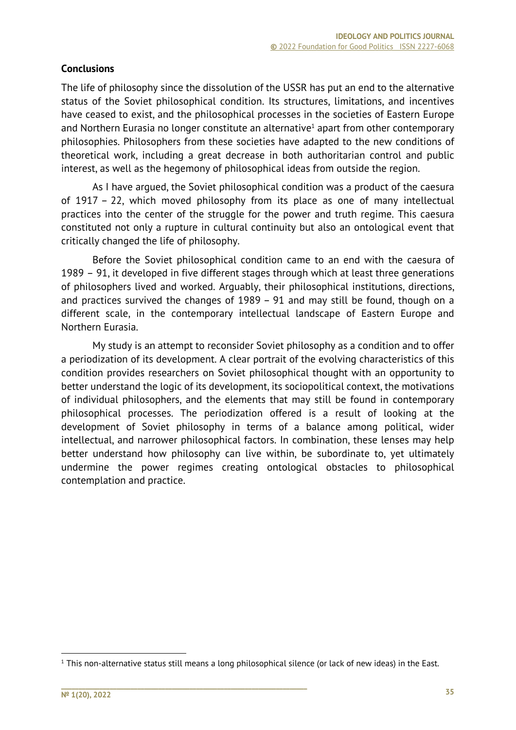# **Conclusions**

The life of philosophy since the dissolution of the USSR has put an end to the alternative status of the Soviet philosophical condition. Its structures, limitations, and incentives have ceased to exist, and the philosophical processes in the societies of Eastern Europe and Northern Eurasia no longer constitute an alternative<sup>1</sup> apart from other contemporary philosophies. Philosophers from these societies have adapted to the new conditions of theoretical work, including a great decrease in both authoritarian control and public interest, as well as the hegemony of philosophical ideas from outside the region.

As I have argued, the Soviet philosophical condition was a product of the caesura of 1917 – 22, which moved philosophy from its place as one of many intellectual practices into the center of the struggle for the power and truth regime. This caesura constituted not only a rupture in cultural continuity but also an ontological event that critically changed the life of philosophy.

Before the Soviet philosophical condition came to an end with the caesura of 1989 – 91, it developed in five different stages through which at least three generations of philosophers lived and worked. Arguably, their philosophical institutions, directions, and practices survived the changes of 1989 – 91 and may still be found, though on a different scale, in the contemporary intellectual landscape of Eastern Europe and Northern Eurasia.

My study is an attempt to reconsider Soviet philosophy as a condition and to offer a periodization of its development. A clear portrait of the evolving characteristics of this condition provides researchers on Soviet philosophical thought with an opportunity to better understand the logic of its development, its sociopolitical context, the motivations of individual philosophers, and the elements that may still be found in contemporary philosophical processes. The periodization offered is a result of looking at the development of Soviet philosophy in terms of a balance among political, wider intellectual, and narrower philosophical factors. In combination, these lenses may help better understand how philosophy can live within, be subordinate to, yet ultimately undermine the power regimes creating ontological obstacles to philosophical contemplation and practice.

 $1$  This non-alternative status still means a long philosophical silence (or lack of new ideas) in the East.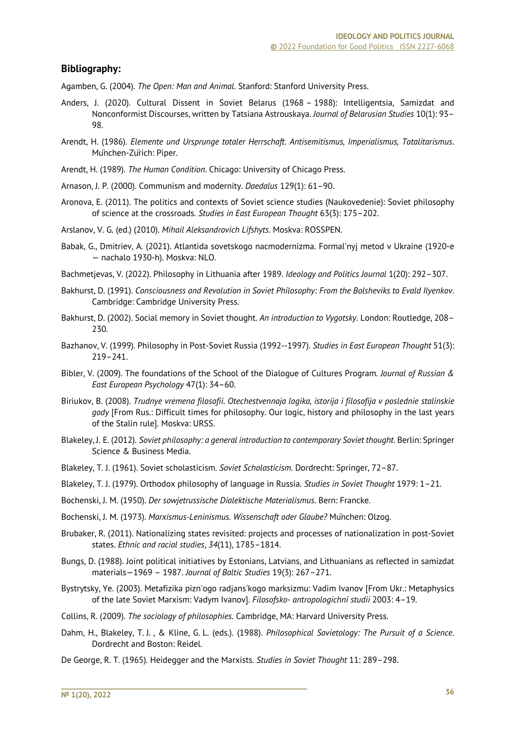#### **Bibliography:**

Agamben, G. (2004). *The Open: Man and Animal*. Stanford: Stanford University Press.

- Anders, J. (2020). Cultural Dissent in Soviet Belarus (1968 1988): Intelligentsia, Samizdat and Nonconformist Discourses, written by Tatsiana Astrouskaya. *Journal of Belarusian Studies* 10(1): 93– 98.
- Arendt, H. (1986). *Elemente und Ursprunge totaler Herrschaft. Antisemitismus, Imperialismus, Totalitarismus*. München-Zürich: Piper.
- Arendt, H. (1989). *The Human Condition*. Chicago: University of Chicago Press.
- Arnason, J. P. (2000). Communism and modernity. *Daedalus* 129(1): 61–90.
- Aronova, E. (2011). The politics and contexts of Soviet science studies (Naukovedenie): Soviet philosophy of science at the crossroads. *Studies in East European Thought* 63(3): 175–202.
- Arslanov, V. G. (ed.) (2010). *Mihail Aleksandrovich Lifshyts*. Moskva: ROSSPEN.
- Babak, G., Dmitriev, A. (2021). Atlantida sovetskogo nacmodernizma. Formal'nyj metod v Ukraine (1920-e — nachalo 1930-h). Moskva: NLO.
- Bachmetjevas, V. (2022). Philosophy in Lithuania after 1989. *Ideology and Politics Journal* 1(20): 292–307.
- Bakhurst, D. (1991). *Consciousness and Revolution in Soviet Philosophy: From the Bolsheviks to Evald Ilyenkov*. Cambridge: Cambridge University Press.
- Bakhurst, D. (2002). Social memory in Soviet thought. *An introduction to Vygotsky*. London: Routledge, 208– 230.
- Bazhanov, V. (1999). Philosophy in Post-Soviet Russia (1992--1997). *Studies in East European Thought* 51(3): 219–241.
- Bibler, V. (2009). The foundations of the School of the Dialogue of Cultures Program. *Journal of Russian & East European Psychology* 47(1): 34–60.
- Biriukov, B. (2008). *Trudnye vremena filosofii. Otechestvennaja logika, istorija i filosofija v poslednie stalinskie gody* [From Rus.: Difficult times for philosophy. Our logic, history and philosophy in the last years of the Stalin rule]. Moskva: URSS.
- Blakeley, J. E. (2012). *Soviet philosophy: a general introduction to contemporary Soviet thought*. Berlin: Springer Science & Business Media.
- Blakeley, T. J. (1961). Soviet scholasticism. *Soviet Scholasticism*. Dordrecht: Springer, 72–87.
- Blakeley, T. J. (1979). Orthodox philosophy of language in Russia. *Studies in Soviet Thought* 1979: 1–21.
- Bochenski, J. M. (1950). *Der sowjetrussische Dialektische Materialismus*. Bern: Francke.
- Bochenski, J. M. (1973). *Marxismus-Leninismus. Wissenschaft oder Glaube?* München: Olzog.
- Brubaker, R. (2011). Nationalizing states revisited: projects and processes of nationalization in post-Soviet states. *Ethnic and racial studies*, *34*(11), 1785–1814.
- Bungs, D. (1988). Joint political initiatives by Estonians, Latvians, and Lithuanians as reflected in samizdat materials—1969 – 1987. *Journal of Baltic Studies* 19(3): 267–271.
- Bystrytsky, Ye. (2003). Metafіzika pіzn'ogo radjans'kogo marksizmu: Vadim Іvanov [From Ukr.: Metaphysics of the late Soviet Marxism: Vadym Ivanov]. *Fіlosofsko- antropologіchnі studіi* 2003: 4–19.
- Collins, R. (2009). *The sociology of philosophies*. Cambridge, MA: Harvard University Press.
- Dahm, H., Blakeley, T. J. , & Kline, G. L. (eds.). (1988). *Philosophical Sovietology: The Pursuit of a Science*. Dordrecht and Boston: Reidel.
- De George, R. T. (1965). Heidegger and the Marxists. *Studies in Soviet Thought* 11: 289–298.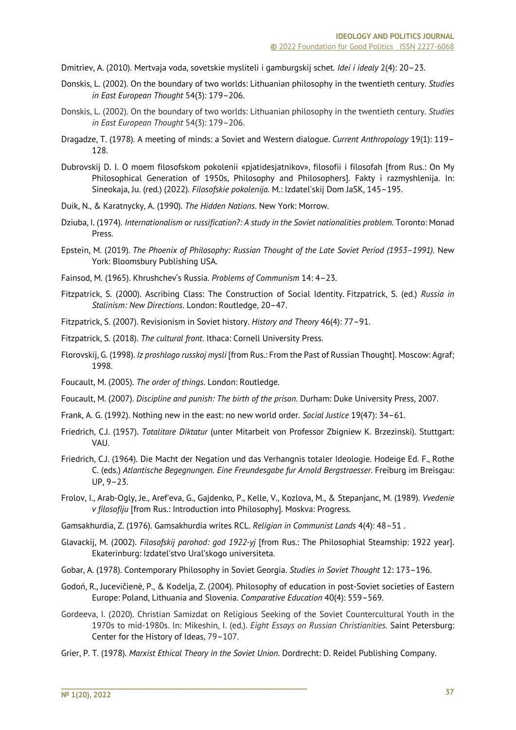Dmitriev, A. (2010). Mertvaja voda, sovetskie mysliteli i gamburgskij schet. *Idei i idealy* 2(4): 20–23.

- Donskis, L. (2002). On the boundary of two worlds: Lithuanian philosophy in the twentieth century. *Studies in East European Thought* 54(3): 179–206.
- Donskis, L. (2002). On the boundary of two worlds: Lithuanian philosophy in the twentieth century. *Studies in East European Thought* 54(3): 179–206.
- Dragadze, T. (1978). A meeting of minds: a Soviet and Western dialogue. *Current Anthropology* 19(1): 119– 128.
- Dubrovskij D. I. O moem filosofskom pokolenii «pjatidesjatnikov», filosofii i filosofah [from Rus.: On My Philosophical Generation of 1950s, Philosophy and Philosophers]. Fakty i razmyshlenija. In: Sineokaja, Ju. (red.) (2022). *Filosofskie pokolenija*. M.: Izdatel'skij Dom JaSK, 145–195.
- Duik, N., & Karatnycky, A. (1990). *The Hidden Nations*. New York: Morrow.
- Dziuba, I. (1974). *Internationalism or russification?: A study in the Soviet nationalities problem*. Toronto: Monad Press.
- Epstein, M. (2019). *The Phoenix of Philosophy: Russian Thought of the Late Soviet Period (1953–1991)*. New York: Bloomsbury Publishing USA.
- Fainsod, M. (1965). Khrushchev's Russia. *Problems of Communism* 14: 4–23.
- Fitzpatrick, S. (2000). Ascribing Class: The Construction of Social Identity. Fitzpatrick, S. (ed.) *Russia in Stalinism: New Directions.* London: Routledge, 20–47.
- Fitzpatrick, S. (2007). Revisionism in Soviet history. *History and Theory* 46(4): 77–91.
- Fitzpatrick, S. (2018). *The cultural front*. Ithaca: Cornell University Press.
- Florovskij, G. (1998). *Iz proshlogo russkoj mysli* [from Rus.: From the Past of Russian Thought]. Moscow: Agraf; 1998.
- Foucault, M. (2005). *The order of things*. London: Routledge.
- Foucault, M. (2007). *Discipline and punish: The birth of the prison*. Durham: Duke University Press, 2007.
- Frank, A. G. (1992). Nothing new in the east: no new world order. *Social Justice* 19(47): 34–61.
- Friedrich, C.J. (1957). *Totalitare Diktatur* (unter Mitarbeit von Professor Zbigniew K. Brzezinski). Stuttgart: VAU.
- Friedrich, C.J. (1964). Die Macht der Negation und das Verhangnis totaler Ideologie. Hodeige Ed. F., Rothe C. (eds.) *Atlantische Begegnungen. Eine Freundesgabe fur Arnold Bergstraesser*. Freiburg im Breisgau: UP, 9–23.
- Frolov, I., Arab-Ogly, Je., Aref'eva, G., Gajdenko, P., Kelle, V., Kozlova, M., & Stepanjanc, M. (1989). *Vvedenie v filosofiju* [from Rus.: Introduction into Philosophy]. Moskva: Progress.
- Gamsakhurdia, Z. (1976). Gamsakhurdia writes RCL. *Religion in Communist Lands* 4(4): 48–51 .
- Glavackij, M. (2002). *Filosofskij parohod: god 1922-yj* [from Rus.: The Philosophial Steamship: 1922 year]. Ekaterinburg: Izdatel'stvo Ural'skogo universiteta.
- Gobar, A. (1978). Contemporary Philosophy in Soviet Georgia. *Studies in Soviet Thought* 12: 173–196.
- Godoń, R., Jucevičienė, P., & Kodelja, Z. (2004). Philosophy of education in post-Soviet societies of Eastern Europe: Poland, Lithuania and Slovenia. *Comparative Education* 40(4): 559–569.
- Gordeeva, I. (2020). Christian Samizdat on Religious Seeking of the Soviet Countercultural Youth in the 1970s to mid-1980s. In: Mikeshin, I. (ed.). *Eight Essays on Russian Christianities*. Saint Petersburg: Center for the History of Ideas, 79–107.
- Grier, P. T. (1978). *Marxist Ethical Theory in the Soviet Union*. Dordrecht: D. Reidel Publishing Company.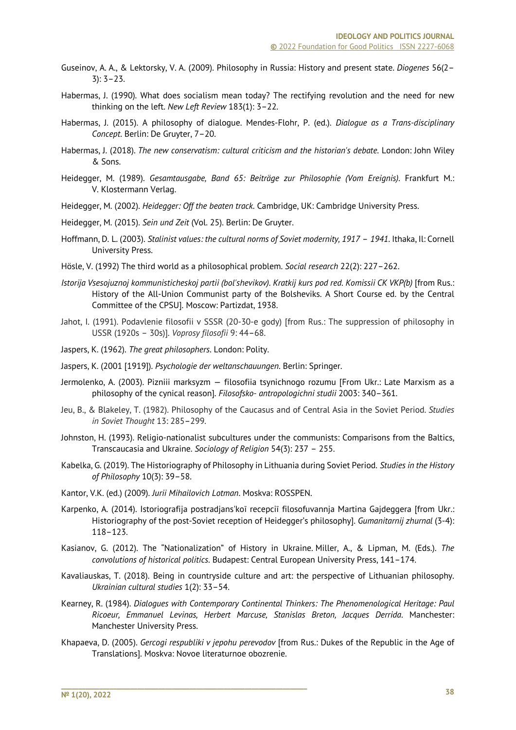- Guseinov, A. A., & Lektorsky, V. A. (2009). Philosophy in Russia: History and present state. *Diogenes* 56(2– 3): 3–23.
- Habermas, J. (1990). What does socialism mean today? The rectifying revolution and the need for new thinking on the left. *New Left Review* 183(1): 3–22.
- Habermas, J. (2015). A philosophy of dialogue. Mendes-Flohr, P. (ed.). *Dialogue as a Trans-disciplinary Concept*. Berlin: De Gruyter, 7–20.
- Habermas, J. (2018). *The new conservatism: cultural criticism and the historian's debate*. London: John Wiley & Sons.
- Heidegger, M. (1989). *Gesamtausgabe, Band 65: Beiträge zur Philosophie (Vom Ereignis)*. Frankfurt M.: V. Klostermann Verlag.
- Heidegger, M. (2002). *Heidegger: Off the beaten track*. Cambridge, UK: Cambridge University Press.
- Heidegger, M. (2015). *Sein und Zeit* (Vol. 25). Berlin: De Gruyter.
- Hoffmann, D. L. (2003). *Stalinist values: the cultural norms of Soviet modernity, 1917 1941*. Ithaka, Il: Cornell University Press.
- Hösle, V. (1992) The third world as a philosophical problem. *Social research* 22(2): 227–262.
- *Istorija Vsesojuznoj kommunisticheskoj partii (bol'shevikov). Kratkij kurs pod red. Komissii CK VKP(b)* [from Rus.: History of the All-Union Communist party of the Bolsheviks. A Short Course ed. by the Central Committee of the CPSU]. Moscow: Partizdat, 1938.
- Jahot, I. (1991). Podavlenie filosofii v SSSR (20-30-e gody) [from Rus.: The suppression of philosophy in USSR (1920s – 30s)]. *Voprosy filosofii* 9: 44–68.
- Jaspers, K. (1962). *The great philosophers*. London: Polity.
- Jaspers, K. (2001 [1919]). *Psychologie der weltanschauungen*. Berlin: Springer.
- Jermolenko, A. (2003). Pіznіii marksyzm fіlosofіia tsynіchnogo rozumu [From Ukr.: Late Marxism as a philosophy of the cynical reason]. *Fіlosofsko- antropologіchnі studіi* 2003: 340–361.
- Jeu, B., & Blakeley, T. (1982). Philosophy of the Caucasus and of Central Asia in the Soviet Period. *Studies in Soviet Thought* 13: 285–299.
- Johnston, H. (1993). Religio-nationalist subcultures under the communists: Comparisons from the Baltics, Transcaucasia and Ukraine. *Sociology of Religion* 54(3): 237 – 255.
- Kabelka, G. (2019). The Historiography of Philosophy in Lithuania during Soviet Period. *Studies in the History of Philosophy* 10(3): 39–58.
- Kantor, V.K. (ed.) (2009). *Jurii Mihailovich Lotman*. Moskva: ROSSPEN.

- Karpenko, A. (2014). Іstorіografіja postradjans'koї recepcії fіlosofuvannja Martіna Gajdeggera [from Ukr.: Historiography of the post-Soviet reception of Heidegger's philosophy]. *Gumanіtarnij zhurnal* (3-4): 118–123.
- Kasianov, G. (2012). The "Nationalization" of History in Ukraine. Miller, A., & Lipman, M. (Eds.). *The convolutions of historical politics*. Budapest: Central European University Press, 141–174.
- Kavaliauskas, T. (2018). Being in countryside culture and art: the perspective of Lithuanian philosophy. *Ukrainian cultural studies* 1(2): 33–54.
- Kearney, R. (1984). *Dialogues with Contemporary Continental Thinkers: The Phenomenological Heritage: Paul Ricoeur, Emmanuel Levinas, Herbert Marcuse, Stanislas Breton, Jacques Derrida*. Manchester: Manchester University Press.
- Khapaeva, D. (2005). *Gercogi respubliki v jepohu perevodov* [from Rus.: Dukes of the Republic in the Age of Translations]. Moskva: Novoe literaturnoe obozrenie.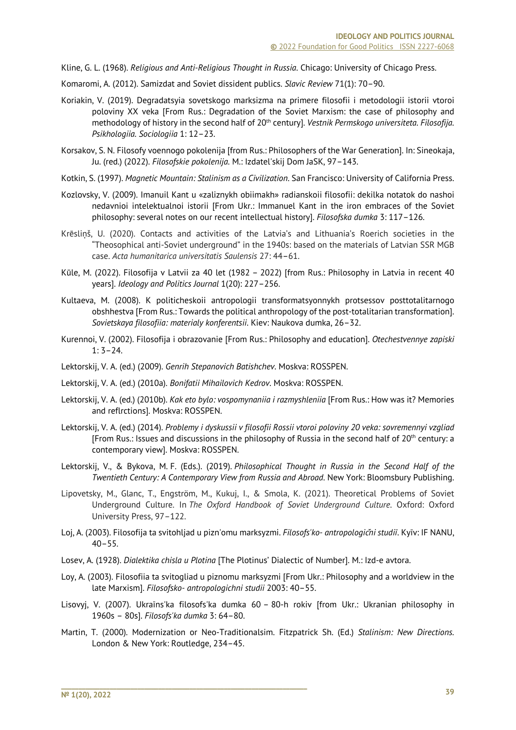Kline, G. L. (1968). *Religious and Anti-Religious Thought in Russia*. Chicago: University of Chicago Press.

- Komaromi, A. (2012). Samizdat and Soviet dissident publics. *Slavic Review* 71(1): 70–90.
- Koriakin, V. (2019). Degradatsyia sovetskogo marksizma na primere filosofii i metodologii istorii vtoroi poloviny XX veka [From Rus.: Degradation of the Soviet Marxism: the case of philosophy and methodology of history in the second half of 20<sup>th</sup> century]. *Vestnik Permskogo universiteta. Filosofija. Psikhologiia. Sociologiia* 1: 12–23.
- Korsakov, S. N. Filosofy voennogo pokolenija [from Rus.: Philosophers of the War Generation]. In: Sineokaja, Ju. (red.) (2022). *Filosofskie pokolenija*. M.: Izdatel'skij Dom JaSK, 97–143.
- Kotkin, S. (1997). *Magnetic Mountain: Stalinism as a Civilization*. San Francisco: University of California Press.
- Kozlovsky, V. (2009). Іmanuil Kant u «zalіznykh obіimakh» radianskoii fіlosofіi: dekіlka notatok do nashoi nedavnioi іntelektualnoi іstorіi [From Ukr.: Immanuel Kant in the iron embraces of the Soviet philosophy: several notes on our recent intellectual history]. *Fіlosofska dumka* 3: 117–126.
- Krēsliņš, U. (2020). Contacts and activities of the Latvia's and Lithuania's Roerich societies in the "Theosophical anti-Soviet underground" in the 1940s: based on the materials of Latvian SSR MGB case. *Acta humanitarica universitatis Saulensis* 27: 44–61.
- Kūle, M. (2022). Filosofija v Latvii za 40 let (1982 2022) [from Rus.: Philosophy in Latvia in recent 40 years]. *Ideology and Politics Journal* 1(20): 227–256.
- Kultaeva, M. (2008). K politicheskoii antropologii transformatsyonnykh protsessov posttotalitarnogo obshhestva [From Rus.: Towards the political anthropology of the post-totalitarian transformation]. *Sovietskaya filosofiia: materialy konferentsii*. Kiev: Naukova dumka, 26–32.
- Kurennoi, V. (2002). Filosofija i obrazovanie [From Rus.: Philosophy and education]. *Otechestvennye zapiski*  $1: 3 - 24.$
- Lektorskij, V. A. (ed.) (2009). *Genrih Stepanovich Batishchev*. Moskva: ROSSPEN.
- Lektorskij, V. A. (ed.) (2010a). *Bonifatii Mihailovich Kedrov*. Moskva: ROSSPEN.
- Lektorskij, V. A. (ed.) (2010b). *Kak eto bylo: vospomynaniia i razmyshleniia* [From Rus.: How was it? Memories and reflrctions]. Moskva: ROSSPEN.
- Lektorskij, V. A. (ed.) (2014). *Problemy i dyskussii v filosofii Rossii vtoroi poloviny 20 veka: sovremennyi vzgliad* [From Rus.: Issues and discussions in the philosophy of Russia in the second half of  $20<sup>th</sup>$  century: a contemporary view]. Moskva: ROSSPEN.
- Lektorskij, V., & Bykova, M. F. (Eds.). (2019). *Philosophical Thought in Russia in the Second Half of the Twentieth Century: A Contemporary View from Russia and Abroad*. New York: Bloomsbury Publishing.
- Lipovetsky, M., Glanc, T., Engström, M., Kukuj, I., & Smola, K. (2021). Theoretical Problems of Soviet Underground Culture. In *The Oxford Handbook of Soviet Underground Culture*. Oxford: Oxford University Press, 97–122.
- Loj, A. (2003). Fіlosofіja ta svіtohljad u pіzn'omu marksyzmі. *Fіlosofs'ko- antropologіčnі studії*. Kyїv: IF NANU,  $40 - 55$ .
- Losev, A. (1928). *Dialektika chisla u Plotina* [The Plotinus' Dialectic of Number]. M.: Izd-e avtora.

- Loy, A. (2003). Fіlosofіia ta svіtogliad u pіznomu marksyzmі [From Ukr.: Philosophy and a worldview in the late Marxism]. *Fіlosofsko- antropologіchnі studіi* 2003: 40–55.
- Lіsovyj, V. (2007). Ukraїns'ka fіlosofs'ka dumka 60 80-h rokіv [from Ukr.: Ukranian philosophy in 1960s – 80s]. *Fіlosofs'ka dumka* 3: 64–80.
- Martin, Т. (2000). Modernization or Neo-Traditionalsim. Fitzpatrick Sh. (Еd.) *Stalinism: New Directions.*  London & New York: Routledge, 234–45.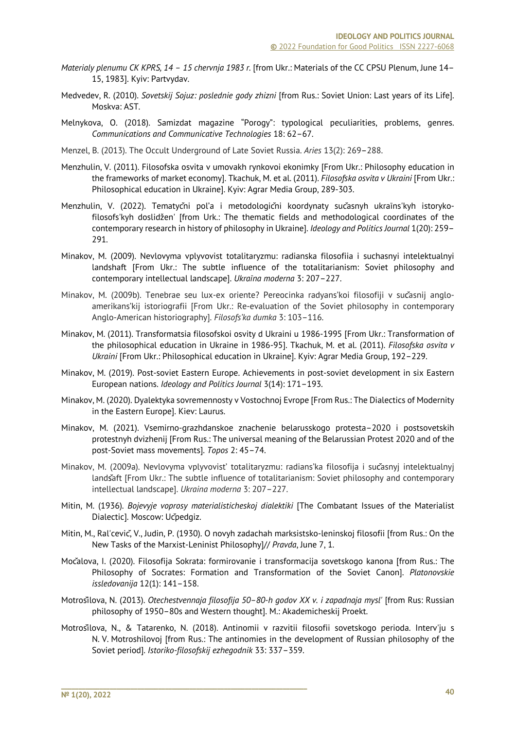- *Materіaly plenumu CK KPRS, 14 – 15 chervnja 1983 r.* [from Ukr.: Materials of the CC CPSU Plenum, June 14– 15, 1983]. Kyiv: Partvydav.
- Medvedev, R. (2010). *Sovetskij Sojuz: poslednie gody zhizni* [from Rus.: Soviet Union: Last years of its Life]. Moskva: AST.
- Melnykova, O. (2018). Samizdat magazine "Porogy": typological peculiarities, problems, genres. *Communications and Communicative Technologies* 18: 62–67.
- Menzel, B. (2013). The Occult Underground of Late Soviet Russia. *Aries* 13(2): 269–288.
- Menzhulin, V. (2011). Filosofska osvita v umovakh rynkovoi ekonimky [From Ukr.: Philosophy education in the frameworks of market economy]. Tkachuk, M. et al. (2011). *Filosofska osvita v Ukraini* [From Ukr.: Philosophical education in Ukraine]. Kyiv: Agrar Media Group, 289-303.
- Menzhulin, V. (2022). Tematychi pol'a i metodologichi koordynaty sucasnyh ukraïns'kyh istorykofіlosofs'kyh doslіdžen' [from Urk.: The thematic fields and methodological coordinates of the contemporary research in history of philosophy in Ukraine]. *Ideology and Politics Journal* 1(20): 259– 291.
- Minakov, M. (2009). Nevlovyma vplyvovіst totalіtaryzmu: radianska fіlosofіia і suchasnyi іntelektualnyi landshaft [From Ukr.: The subtle influence of the totalitarianism: Soviet philosophy and contemporary intellectual landscape]. *Ukraїna moderna* 3: 207–227.
- Minakov, M. (2009b). Tenebrae seu lux-ex oriente? Pereocinka radyans'koi filosofiji v sučasnij angloamerikans'kij istoriografii [From Ukr.: Re-evaluation of the Soviet philosophy in contemporary Anglo-American historiography]. *Filosofs'ka dumka* 3: 103–116.
- Minakov, M. (2011). Transformatsia filosofskoi osvity d Ukraini u 1986-1995 [From Ukr.: Transformation of the philosophical education in Ukraine in 1986-95]. Tkachuk, M. et al. (2011). *Filosofska osvita v Ukraini* [From Ukr.: Philosophical education in Ukraine]. Kyiv: Agrar Media Group, 192–229.
- Minakov, M. (2019). Post-soviet Eastern Europe. Achievements in post-soviet development in six Eastern European nations. *Ideology and Politics Journal* 3(14): 171–193.
- Minakov, M. (2020). Dyalektyka sovremennosty v Vostochnoj Evrope [From Rus.: The Dialectics of Modernity in the Eastern Europe]. Kiev: Laurus.
- Minakov, M. (2021). Vsemirno-grazhdanskoe znachenie belarusskogo protesta–2020 i postsovetskih protestnyh dvizhenij [From Rus.: The universal meaning of the Belarussian Protest 2020 and of the post-Soviet mass movements]. *Topos* 2: 45–74.
- Minakov, М. (2009a). Nevlovyma vplyvovist' totalitaryzmu: radians'ka filosofija і sučasnyj intelektualnyj landšaft [From Ukr.: The subtle influence of totalitarianism: Soviet philosophy and contemporary intellectual landscape]. *Ukraina moderna* 3: 207–227.
- Mitin, M. (1936). *Bojevyje voprosy materialisticheskoj dialektiki* [The Combatant Issues of the Materialist Dialectic]. Moscow: Učpedgiz.
- Mitin, M., Ral'cevič, V., Judin, P. (1930). O novyh zadachah marksistsko-leninskoj filosofii [from Rus.: On the New Tasks of the Marxist-Leninist Philosophy]// *Pravda*, June 7, 1.
- Močalova, I. (2020). Filosofija Sokrata: formirovanie i transformacija sovetskogo kanona [from Rus.: The Philosophy of Socrates: Formation and Transformation of the Soviet Canon]. *Platonovskie issledovanija* 12(1): 141–158.
- Motrošilova, N. (2013). *Otechestvennaja filosofija 50–80-h godov XX v. i zapadnaja mysl'* [from Rus: Russian philosophy of 1950–80s and Western thought]. M.: Akademicheskij Proekt.
- Motrošilova, N., & Tatarenko, N. (2018). Antinomii v razvitii filosofii sovetskogo perioda. Interv'ju s N. V. Motroshilovoj [from Rus.: The antinomies in the development of Russian philosophy of the Soviet period]. *Istoriko-filosofskij ezhegodnik* 33: 337–359.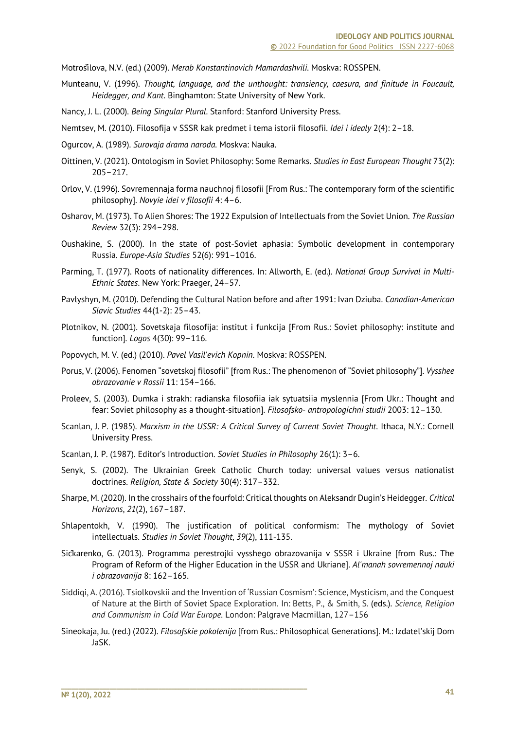Motrošilova, N.V. (ed.) (2009). *Merab Konstantinovich Mamardashvili*. Moskva: ROSSPEN.

Munteanu, V. (1996). *Thought, language, and the unthought: transiency, caesura, and finitude in Foucault, Heidegger, and Kant*. Binghamton: State University of New York.

Nancy, J. L. (2000). *Being Singular Plural*. Stanford: Stanford University Press.

Nemtsev, M. (2010). Filosofija v SSSR kak predmet i tema istorii filosofii. *Idei i idealy* 2(4): 2–18.

- Ogurcov, A. (1989). *Surovaja drama naroda*. Moskva: Nauka.
- Oittinen, V. (2021). Ontologism in Soviet Philosophy: Some Remarks. *Studies in East European Thought* 73(2): 205–217.
- Orlov, V. (1996). Sovremennaja forma nauchnoj filosofii [From Rus.: The contemporary form of the scientific philosophy]. *Novyie idei v filosofii* 4: 4–6.
- Osharov, M. (1973). To Alien Shores: The 1922 Expulsion of Intellectuals from the Soviet Union. *The Russian Review* 32(3): 294–298.
- Oushakine, S. (2000). In the state of post-Soviet aphasia: Symbolic development in contemporary Russia. *Europe-Asia Studies* 52(6): 991–1016.
- Parming, T. (1977). Roots of nationality differences. In: Allworth, E. (ed.). *National Group Survival in Multi-Ethnic States*. New York: Praeger, 24–57.
- Pavlyshyn, M. (2010). Defending the Cultural Nation before and after 1991: Ivan Dziuba. *Canadian-American Slavic Studies* 44(1-2): 25–43.
- Plotnikov, N. (2001). Sovetskaja filosofija: institut i funkcija [From Rus.: Soviet philosophy: institute and function]. *Logos* 4(30): 99–116.
- Popovych, M. V. (ed.) (2010). *Pavel Vasil'evich Kopnin*. Moskva: ROSSPEN.
- Porus, V. (2006). Fenomen "sovetskoj filosofii" [from Rus.: The phenomenon of "Soviet philosophy"]. *Vysshee obrazovanie v Rossii* 11: 154–166.
- Proleev, S. (2003). Dumka і strakh: radianska fіlosofіia iak sytuatsіia myslennia [From Ukr.: Thought and fear: Soviet philosophy as a thought-situation]. *Fіlosofsko- antropologіchnі studіi* 2003: 12–130.
- Scanlan, J. P. (1985). *Marxism in the USSR: A Critical Survey of Current Soviet Thought*. Ithaca, N.Y.: Cornell University Press.
- Scanlan, J. P. (1987). Editor's Introduction. *Soviet Studies in Philosophy* 26(1): 3–6.

- Senyk, S. (2002). The Ukrainian Greek Catholic Church today: universal values versus nationalist doctrines. *Religion, State & Society* 30(4): 317–332.
- Sharpe, M. (2020). In the crosshairs of the fourfold: Critical thoughts on Aleksandr Dugin's Heidegger. *Critical Horizons*, *21*(2), 167–187.
- Shlapentokh, V. (1990). The justification of political conformism: The mythology of Soviet intellectuals. *Studies in Soviet Thought*, *39*(2), 111-135.
- Sičkarenko, G. (2013). Programma perestrojki vysshego obrazovanija v SSSR i Ukraine [from Rus.: The Program of Reform of the Higher Education in the USSR and Ukriane]. *Al'manah sovremennoj nauki i obrazovanija* 8: 162–165.
- Siddiqi, A. (2016). Tsiolkovskii and the Invention of 'Russian Cosmism': Science, Mysticism, and the Conquest of Nature at the Birth of Soviet Space Exploration. In: Betts, P., & Smith, S. (eds.). *Science, Religion and Communism in Cold War Europe*. London: Palgrave Macmillan, 127–156
- Sineokaja, Ju. (red.) (2022). *Filosofskie pokolenija* [from Rus.: Philosophical Generations]. M.: Izdatel'skij Dom JaSK.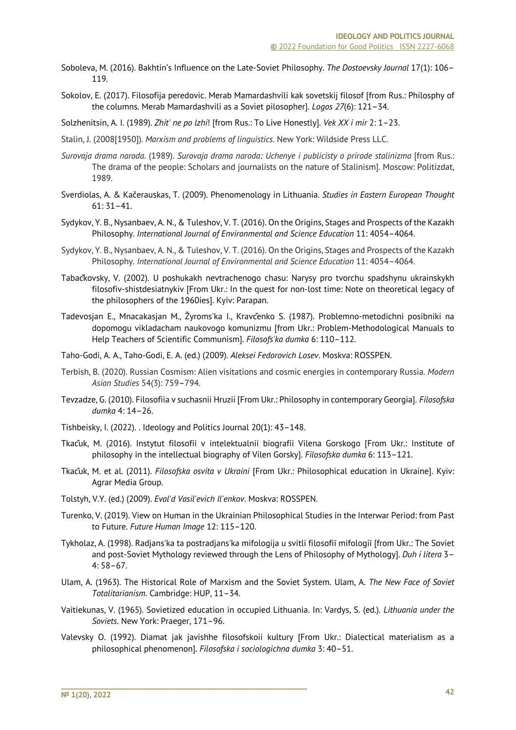- Soboleva, M. (2016). Bakhtin's Influence on the Late-Soviet Philosophy. *The Dostoevsky Journal* 17(1): 106– 119.
- Sokolov, E. (2017). Filosofija peredovic. Merab Mamardashvili kak sovetskij filosof [from Rus.: Philosphy of the columns. Merab Mamardashvili as a Soviet pilosopher]. *Logos 27*(6): 121–34.
- Solzhenitsin, A. I. (1989). *Zhit' ne po lzhi*! [from Rus.: To Live Honestly]. *Vek ХХ i mir* 2: 1–23.
- Stalin, J. (2008[1950]). *Marxism and problems of linguistics*. New York: Wildside Press LLC.
- *Surovaja drama naroda*. (1989). *Surovaja drama naroda: Uchenye i publicisty o prirode stalinizma* [from Rus.: The drama of the people: Scholars and journalists on the nature of Stalinism]. Moscow: Politizdat, 1989.
- Sverdiolas, A. & Kačerauskas, T. (2009). Phenomenology in Lithuania. *Studies in Eastern European Thought* 61: 31–41.
- Sydykov, Y. B., Nysanbaev, A. N., & Tuleshov, V. T. (2016). On the Origins, Stages and Prospects of the Kazakh Philosophy. *International Journal of Environmental and Science Education* 11: 4054–4064.
- Sydykov, Y. B., Nysanbaev, A. N., & Tuleshov, V. T. (2016). On the Origins, Stages and Prospects of the Kazakh Philosophy. *International Journal of Environmental and Science Education* 11: 4054–4064.
- Tabačkovsky, V. (2002). U poshukakh nevtrachenogo chasu: Narysy pro tvorchu spadshynu ukrainskykh filosofiv-shistdesiatnykiv [From Ukr.: In the quest for non-lost time: Note on theoretical legacy of the philosophers of the 1960ies]. Kyiv: Parapan.
- Tadevosjan E., Mnacakasjan M., Žyroms'ka І., Kravčenko S. (1987). Problemno-metodichnі posіbniki na dopomogu vikladacham naukovogo komunіzmu [from Ukr.: Problem-Methodological Manuals to Help Teachers of Scientific Communism]. *Fіlosofs'ka dumka* 6: 110–112.
- Taho-Godi, A. A., Taho-Godi, E. A. (ed.) (2009). *Aleksei Fedorovich Losev*. Moskva: ROSSPEN.
- Terbish, B. (2020). Russian Cosmism: Alien visitations and cosmic energies in contemporary Russia. *Modern Asian Studies* 54(3): 759–794.
- Tevzadze, G. (2010). Filosofiia v suchasnii Hruzii [From Ukr.: Philosophy in contemporary Georgia]. *Filosofska dumka* 4: 14–26.
- Tishbeisky, I. (2022). . Ideology and Politics Journal 20(1): 43–148.
- Tkačuk, M. (2016). Instytut filosofii v intelektualnii biografii Vilena Gorskogo [From Ukr.: Institute of philosophy in the intellectual biography of Vilen Gorsky]. *Filosofska dumka* 6: 113–121.
- Tkačuk, M. et al. (2011). *Filosofska osvita v Ukraini* [From Ukr.: Philosophical education in Ukraine]. Kyiv: Agrar Media Group.
- Tolstyh, V.Y. (ed.) (2009). *Eval'd Vasil'evich Il'enkov*. Moskva: ROSSPEN.

- Turenko, V. (2019). View on Human in the Ukrainian Philosophical Studies in the Interwar Period: from Past to Future. *Future Human Image* 12: 115–120.
- Tykholaz, A. (1998). Radjans'ka ta postradjans'ka mіfologіja u svіtlі fіlosofії mіfologії [from Ukr.: The Soviet and post-Soviet Mythology reviewed through the Lens of Philosophy of Mythology]. *Duh і lіtera* 3– 4: 58–67.
- Ulam, A. (1963). The Historical Role of Marxism and the Soviet System. Ulam, A. *The New Face of Soviet Totalitarianism.* Cambridge: HUP, 11–34.
- Vaitiekunas, V. (1965). Sovietized education in occupied Lithuania. In: Vardys, S. (ed.). *Lithuania under the Soviets*. New York: Praeger, 171–96.
- Valevsky O. (1992). Dіamat jak javishhe fіlosofskoii kultury [From Ukr.: Dialectical materialism as a philosophical phenomenon]. *Fіlosofska і socіologіchna dumka* 3: 40–51.